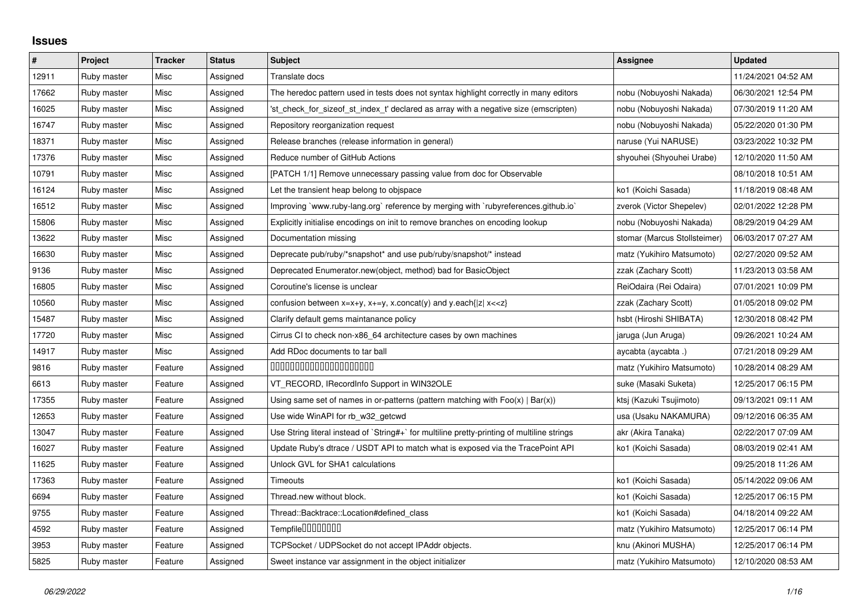## **Issues**

| $\pmb{\#}$ | Project     | <b>Tracker</b> | <b>Status</b> | <b>Subject</b>                                                                              | Assignee                     | <b>Updated</b>      |
|------------|-------------|----------------|---------------|---------------------------------------------------------------------------------------------|------------------------------|---------------------|
| 12911      | Ruby master | Misc           | Assigned      | Translate docs                                                                              |                              | 11/24/2021 04:52 AM |
| 17662      | Ruby master | Misc           | Assigned      | The heredoc pattern used in tests does not syntax highlight correctly in many editors       | nobu (Nobuyoshi Nakada)      | 06/30/2021 12:54 PM |
| 16025      | Ruby master | Misc           | Assigned      | 'st check for sizeof st index t' declared as array with a negative size (emscripten)        | nobu (Nobuyoshi Nakada)      | 07/30/2019 11:20 AM |
| 16747      | Ruby master | Misc           | Assigned      | Repository reorganization request                                                           | nobu (Nobuyoshi Nakada)      | 05/22/2020 01:30 PM |
| 18371      | Ruby master | Misc           | Assigned      | Release branches (release information in general)                                           | naruse (Yui NARUSE)          | 03/23/2022 10:32 PM |
| 17376      | Ruby master | Misc           | Assigned      | Reduce number of GitHub Actions                                                             | shyouhei (Shyouhei Urabe)    | 12/10/2020 11:50 AM |
| 10791      | Ruby master | Misc           | Assigned      | [PATCH 1/1] Remove unnecessary passing value from doc for Observable                        |                              | 08/10/2018 10:51 AM |
| 16124      | Ruby master | Misc           | Assigned      | Let the transient heap belong to objspace                                                   | ko1 (Koichi Sasada)          | 11/18/2019 08:48 AM |
| 16512      | Ruby master | Misc           | Assigned      | Improving `www.ruby-lang.org` reference by merging with `rubyreferences.github.io`          | zverok (Victor Shepelev)     | 02/01/2022 12:28 PM |
| 15806      | Ruby master | Misc           | Assigned      | Explicitly initialise encodings on init to remove branches on encoding lookup               | nobu (Nobuyoshi Nakada)      | 08/29/2019 04:29 AM |
| 13622      | Ruby master | Misc           | Assigned      | Documentation missing                                                                       | stomar (Marcus Stollsteimer) | 06/03/2017 07:27 AM |
| 16630      | Ruby master | Misc           | Assigned      | Deprecate pub/ruby/*snapshot* and use pub/ruby/snapshot/* instead                           | matz (Yukihiro Matsumoto)    | 02/27/2020 09:52 AM |
| 9136       | Ruby master | Misc           | Assigned      | Deprecated Enumerator.new(object, method) bad for BasicObject                               | zzak (Zachary Scott)         | 11/23/2013 03:58 AM |
| 16805      | Ruby master | Misc           | Assigned      | Coroutine's license is unclear                                                              | ReiOdaira (Rei Odaira)       | 07/01/2021 10:09 PM |
| 10560      | Ruby master | Misc           | Assigned      | confusion between $x=x+y$ , $x+=y$ , x.concat(y) and y.each{ z  $x<}$                       | zzak (Zachary Scott)         | 01/05/2018 09:02 PM |
| 15487      | Ruby master | Misc           | Assigned      | Clarify default gems maintanance policy                                                     | hsbt (Hiroshi SHIBATA)       | 12/30/2018 08:42 PM |
| 17720      | Ruby master | Misc           | Assigned      | Cirrus CI to check non-x86_64 architecture cases by own machines                            | jaruga (Jun Aruga)           | 09/26/2021 10:24 AM |
| 14917      | Ruby master | Misc           | Assigned      | Add RDoc documents to tar ball                                                              | aycabta (aycabta .)          | 07/21/2018 09:29 AM |
| 9816       | Ruby master | Feature        | Assigned      | 00000000000000000000                                                                        | matz (Yukihiro Matsumoto)    | 10/28/2014 08:29 AM |
| 6613       | Ruby master | Feature        | Assigned      | VT RECORD, IRecordInfo Support in WIN32OLE                                                  | suke (Masaki Suketa)         | 12/25/2017 06:15 PM |
| 17355      | Ruby master | Feature        | Assigned      | Using same set of names in or-patterns (pattern matching with $Foo(x)   Bar(x)$ )           | ktsį (Kazuki Tsujimoto)      | 09/13/2021 09:11 AM |
| 12653      | Ruby master | Feature        | Assigned      | Use wide WinAPI for rb_w32_getcwd                                                           | usa (Usaku NAKAMURA)         | 09/12/2016 06:35 AM |
| 13047      | Ruby master | Feature        | Assigned      | Use String literal instead of `String#+` for multiline pretty-printing of multiline strings | akr (Akira Tanaka)           | 02/22/2017 07:09 AM |
| 16027      | Ruby master | Feature        | Assigned      | Update Ruby's dtrace / USDT API to match what is exposed via the TracePoint API             | ko1 (Koichi Sasada)          | 08/03/2019 02:41 AM |
| 11625      | Ruby master | Feature        | Assigned      | Unlock GVL for SHA1 calculations                                                            |                              | 09/25/2018 11:26 AM |
| 17363      | Ruby master | Feature        | Assigned      | Timeouts                                                                                    | ko1 (Koichi Sasada)          | 05/14/2022 09:06 AM |
| 6694       | Ruby master | Feature        | Assigned      | Thread.new without block.                                                                   | ko1 (Koichi Sasada)          | 12/25/2017 06:15 PM |
| 9755       | Ruby master | Feature        | Assigned      | Thread::Backtrace::Location#defined_class                                                   | ko1 (Koichi Sasada)          | 04/18/2014 09:22 AM |
| 4592       | Ruby master | Feature        | Assigned      | Tempfile00000000                                                                            | matz (Yukihiro Matsumoto)    | 12/25/2017 06:14 PM |
| 3953       | Ruby master | Feature        | Assigned      | TCPSocket / UDPSocket do not accept IPAddr objects.                                         | knu (Akinori MUSHA)          | 12/25/2017 06:14 PM |
| 5825       | Ruby master | Feature        | Assigned      | Sweet instance var assignment in the object initializer                                     | matz (Yukihiro Matsumoto)    | 12/10/2020 08:53 AM |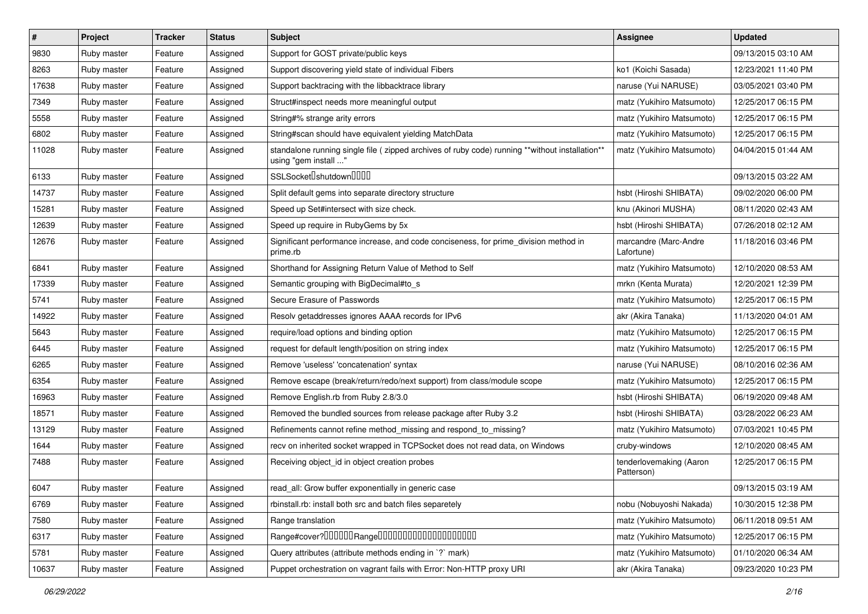| $\vert$ # | Project     | <b>Tracker</b> | <b>Status</b> | <b>Subject</b>                                                                                                          | <b>Assignee</b>                       | <b>Updated</b>      |
|-----------|-------------|----------------|---------------|-------------------------------------------------------------------------------------------------------------------------|---------------------------------------|---------------------|
| 9830      | Ruby master | Feature        | Assigned      | Support for GOST private/public keys                                                                                    |                                       | 09/13/2015 03:10 AM |
| 8263      | Ruby master | Feature        | Assigned      | Support discovering yield state of individual Fibers                                                                    | ko1 (Koichi Sasada)                   | 12/23/2021 11:40 PM |
| 17638     | Ruby master | Feature        | Assigned      | Support backtracing with the libbacktrace library                                                                       | naruse (Yui NARUSE)                   | 03/05/2021 03:40 PM |
| 7349      | Ruby master | Feature        | Assigned      | Struct#inspect needs more meaningful output                                                                             | matz (Yukihiro Matsumoto)             | 12/25/2017 06:15 PM |
| 5558      | Ruby master | Feature        | Assigned      | String#% strange arity errors                                                                                           | matz (Yukihiro Matsumoto)             | 12/25/2017 06:15 PM |
| 6802      | Ruby master | Feature        | Assigned      | String#scan should have equivalent yielding MatchData                                                                   | matz (Yukihiro Matsumoto)             | 12/25/2017 06:15 PM |
| 11028     | Ruby master | Feature        | Assigned      | standalone running single file ( zipped archives of ruby code) running **without installation**<br>using "gem install " | matz (Yukihiro Matsumoto)             | 04/04/2015 01:44 AM |
| 6133      | Ruby master | Feature        | Assigned      | SSLSocket <sup>[</sup> shutdown <sup>[11]</sup>                                                                         |                                       | 09/13/2015 03:22 AM |
| 14737     | Ruby master | Feature        | Assigned      | Split default gems into separate directory structure                                                                    | hsbt (Hiroshi SHIBATA)                | 09/02/2020 06:00 PM |
| 15281     | Ruby master | Feature        | Assigned      | Speed up Set#intersect with size check.                                                                                 | knu (Akinori MUSHA)                   | 08/11/2020 02:43 AM |
| 12639     | Ruby master | Feature        | Assigned      | Speed up require in RubyGems by 5x                                                                                      | hsbt (Hiroshi SHIBATA)                | 07/26/2018 02:12 AM |
| 12676     | Ruby master | Feature        | Assigned      | Significant performance increase, and code conciseness, for prime_division method in<br>prime.rb                        | marcandre (Marc-Andre<br>Lafortune)   | 11/18/2016 03:46 PM |
| 6841      | Ruby master | Feature        | Assigned      | Shorthand for Assigning Return Value of Method to Self                                                                  | matz (Yukihiro Matsumoto)             | 12/10/2020 08:53 AM |
| 17339     | Ruby master | Feature        | Assigned      | Semantic grouping with BigDecimal#to_s                                                                                  | mrkn (Kenta Murata)                   | 12/20/2021 12:39 PM |
| 5741      | Ruby master | Feature        | Assigned      | Secure Erasure of Passwords                                                                                             | matz (Yukihiro Matsumoto)             | 12/25/2017 06:15 PM |
| 14922     | Ruby master | Feature        | Assigned      | Resolv getaddresses ignores AAAA records for IPv6                                                                       | akr (Akira Tanaka)                    | 11/13/2020 04:01 AM |
| 5643      | Ruby master | Feature        | Assigned      | require/load options and binding option                                                                                 | matz (Yukihiro Matsumoto)             | 12/25/2017 06:15 PM |
| 6445      | Ruby master | Feature        | Assigned      | request for default length/position on string index                                                                     | matz (Yukihiro Matsumoto)             | 12/25/2017 06:15 PM |
| 6265      | Ruby master | Feature        | Assigned      | Remove 'useless' 'concatenation' syntax                                                                                 | naruse (Yui NARUSE)                   | 08/10/2016 02:36 AM |
| 6354      | Ruby master | Feature        | Assigned      | Remove escape (break/return/redo/next support) from class/module scope                                                  | matz (Yukihiro Matsumoto)             | 12/25/2017 06:15 PM |
| 16963     | Ruby master | Feature        | Assigned      | Remove English.rb from Ruby 2.8/3.0                                                                                     | hsbt (Hiroshi SHIBATA)                | 06/19/2020 09:48 AM |
| 18571     | Ruby master | Feature        | Assigned      | Removed the bundled sources from release package after Ruby 3.2                                                         | hsbt (Hiroshi SHIBATA)                | 03/28/2022 06:23 AM |
| 13129     | Ruby master | Feature        | Assigned      | Refinements cannot refine method_missing and respond_to_missing?                                                        | matz (Yukihiro Matsumoto)             | 07/03/2021 10:45 PM |
| 1644      | Ruby master | Feature        | Assigned      | recv on inherited socket wrapped in TCPSocket does not read data, on Windows                                            | cruby-windows                         | 12/10/2020 08:45 AM |
| 7488      | Ruby master | Feature        | Assigned      | Receiving object id in object creation probes                                                                           | tenderlovemaking (Aaron<br>Patterson) | 12/25/2017 06:15 PM |
| 6047      | Ruby master | Feature        | Assigned      | read_all: Grow buffer exponentially in generic case                                                                     |                                       | 09/13/2015 03:19 AM |
| 6769      | Ruby master | Feature        | Assigned      | rbinstall.rb: install both src and batch files separetely                                                               | nobu (Nobuyoshi Nakada)               | 10/30/2015 12:38 PM |
| 7580      | Ruby master | Feature        | Assigned      | Range translation                                                                                                       | matz (Yukihiro Matsumoto)             | 06/11/2018 09:51 AM |
| 6317      | Ruby master | Feature        | Assigned      | Range#cover?000000Range00000000000000000000                                                                             | matz (Yukihiro Matsumoto)             | 12/25/2017 06:15 PM |
| 5781      | Ruby master | Feature        | Assigned      | Query attributes (attribute methods ending in `?` mark)                                                                 | matz (Yukihiro Matsumoto)             | 01/10/2020 06:34 AM |
| 10637     | Ruby master | Feature        | Assigned      | Puppet orchestration on vagrant fails with Error: Non-HTTP proxy URI                                                    | akr (Akira Tanaka)                    | 09/23/2020 10:23 PM |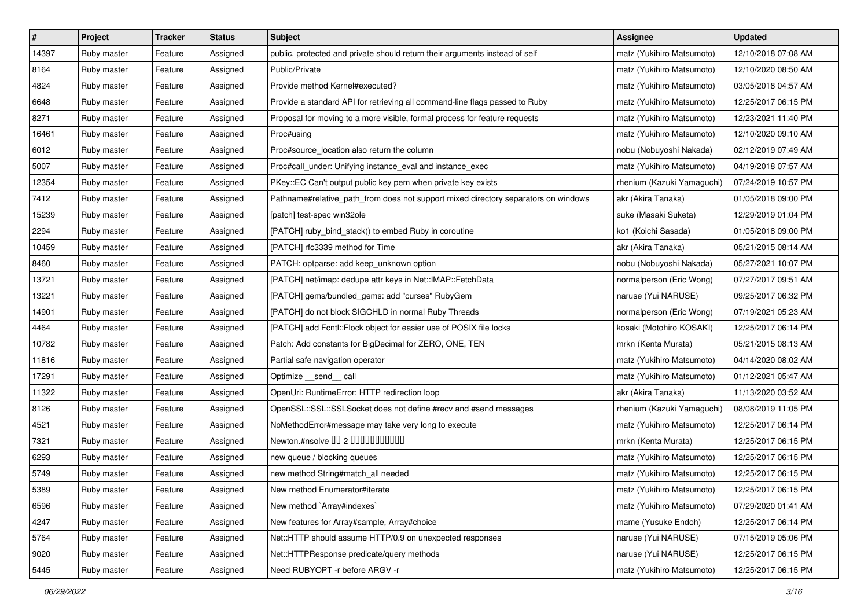| #     | Project     | <b>Tracker</b> | <b>Status</b> | Subject                                                                            | Assignee                   | <b>Updated</b>      |
|-------|-------------|----------------|---------------|------------------------------------------------------------------------------------|----------------------------|---------------------|
| 14397 | Ruby master | Feature        | Assigned      | public, protected and private should return their arguments instead of self        | matz (Yukihiro Matsumoto)  | 12/10/2018 07:08 AM |
| 8164  | Ruby master | Feature        | Assigned      | Public/Private                                                                     | matz (Yukihiro Matsumoto)  | 12/10/2020 08:50 AM |
| 4824  | Ruby master | Feature        | Assigned      | Provide method Kernel#executed?                                                    | matz (Yukihiro Matsumoto)  | 03/05/2018 04:57 AM |
| 6648  | Ruby master | Feature        | Assigned      | Provide a standard API for retrieving all command-line flags passed to Ruby        | matz (Yukihiro Matsumoto)  | 12/25/2017 06:15 PM |
| 8271  | Ruby master | Feature        | Assigned      | Proposal for moving to a more visible, formal process for feature requests         | matz (Yukihiro Matsumoto)  | 12/23/2021 11:40 PM |
| 16461 | Ruby master | Feature        | Assigned      | Proc#using                                                                         | matz (Yukihiro Matsumoto)  | 12/10/2020 09:10 AM |
| 6012  | Ruby master | Feature        | Assigned      | Proc#source_location also return the column                                        | nobu (Nobuyoshi Nakada)    | 02/12/2019 07:49 AM |
| 5007  | Ruby master | Feature        | Assigned      | Proc#call_under: Unifying instance_eval and instance_exec                          | matz (Yukihiro Matsumoto)  | 04/19/2018 07:57 AM |
| 12354 | Ruby master | Feature        | Assigned      | PKey::EC Can't output public key pem when private key exists                       | rhenium (Kazuki Yamaguchi) | 07/24/2019 10:57 PM |
| 7412  | Ruby master | Feature        | Assigned      | Pathname#relative_path_from does not support mixed directory separators on windows | akr (Akira Tanaka)         | 01/05/2018 09:00 PM |
| 15239 | Ruby master | Feature        | Assigned      | [patch] test-spec win32ole                                                         | suke (Masaki Suketa)       | 12/29/2019 01:04 PM |
| 2294  | Ruby master | Feature        | Assigned      | [PATCH] ruby_bind_stack() to embed Ruby in coroutine                               | ko1 (Koichi Sasada)        | 01/05/2018 09:00 PM |
| 10459 | Ruby master | Feature        | Assigned      | [PATCH] rfc3339 method for Time                                                    | akr (Akira Tanaka)         | 05/21/2015 08:14 AM |
| 8460  | Ruby master | Feature        | Assigned      | PATCH: optparse: add keep_unknown option                                           | nobu (Nobuyoshi Nakada)    | 05/27/2021 10:07 PM |
| 13721 | Ruby master | Feature        | Assigned      | [PATCH] net/imap: dedupe attr keys in Net::IMAP::FetchData                         | normalperson (Eric Wong)   | 07/27/2017 09:51 AM |
| 13221 | Ruby master | Feature        | Assigned      | [PATCH] gems/bundled_gems: add "curses" RubyGem                                    | naruse (Yui NARUSE)        | 09/25/2017 06:32 PM |
| 14901 | Ruby master | Feature        | Assigned      | [PATCH] do not block SIGCHLD in normal Ruby Threads                                | normalperson (Eric Wong)   | 07/19/2021 05:23 AM |
| 4464  | Ruby master | Feature        | Assigned      | [PATCH] add Fcntl::Flock object for easier use of POSIX file locks                 | kosaki (Motohiro KOSAKI)   | 12/25/2017 06:14 PM |
| 10782 | Ruby master | Feature        | Assigned      | Patch: Add constants for BigDecimal for ZERO, ONE, TEN                             | mrkn (Kenta Murata)        | 05/21/2015 08:13 AM |
| 11816 | Ruby master | Feature        | Assigned      | Partial safe navigation operator                                                   | matz (Yukihiro Matsumoto)  | 04/14/2020 08:02 AM |
| 17291 | Ruby master | Feature        | Assigned      | Optimize __send__ call                                                             | matz (Yukihiro Matsumoto)  | 01/12/2021 05:47 AM |
| 11322 | Ruby master | Feature        | Assigned      | OpenUri: RuntimeError: HTTP redirection loop                                       | akr (Akira Tanaka)         | 11/13/2020 03:52 AM |
| 8126  | Ruby master | Feature        | Assigned      | OpenSSL::SSL::SSLSocket does not define #recv and #send messages                   | rhenium (Kazuki Yamaguchi) | 08/08/2019 11:05 PM |
| 4521  | Ruby master | Feature        | Assigned      | NoMethodError#message may take very long to execute                                | matz (Yukihiro Matsumoto)  | 12/25/2017 06:14 PM |
| 7321  | Ruby master | Feature        | Assigned      | Newton.#nsolve 00 2 00000000000                                                    | mrkn (Kenta Murata)        | 12/25/2017 06:15 PM |
| 6293  | Ruby master | Feature        | Assigned      | new queue / blocking queues                                                        | matz (Yukihiro Matsumoto)  | 12/25/2017 06:15 PM |
| 5749  | Ruby master | Feature        | Assigned      | new method String#match_all needed                                                 | matz (Yukihiro Matsumoto)  | 12/25/2017 06:15 PM |
| 5389  | Ruby master | Feature        | Assigned      | New method Enumerator#iterate                                                      | matz (Yukihiro Matsumoto)  | 12/25/2017 06:15 PM |
| 6596  | Ruby master | Feature        | Assigned      | New method `Array#indexes`                                                         | matz (Yukihiro Matsumoto)  | 07/29/2020 01:41 AM |
| 4247  | Ruby master | Feature        | Assigned      | New features for Array#sample, Array#choice                                        | mame (Yusuke Endoh)        | 12/25/2017 06:14 PM |
| 5764  | Ruby master | Feature        | Assigned      | Net::HTTP should assume HTTP/0.9 on unexpected responses                           | naruse (Yui NARUSE)        | 07/15/2019 05:06 PM |
| 9020  | Ruby master | Feature        | Assigned      | Net::HTTPResponse predicate/query methods                                          | naruse (Yui NARUSE)        | 12/25/2017 06:15 PM |
| 5445  | Ruby master | Feature        | Assigned      | Need RUBYOPT -r before ARGV -r                                                     | matz (Yukihiro Matsumoto)  | 12/25/2017 06:15 PM |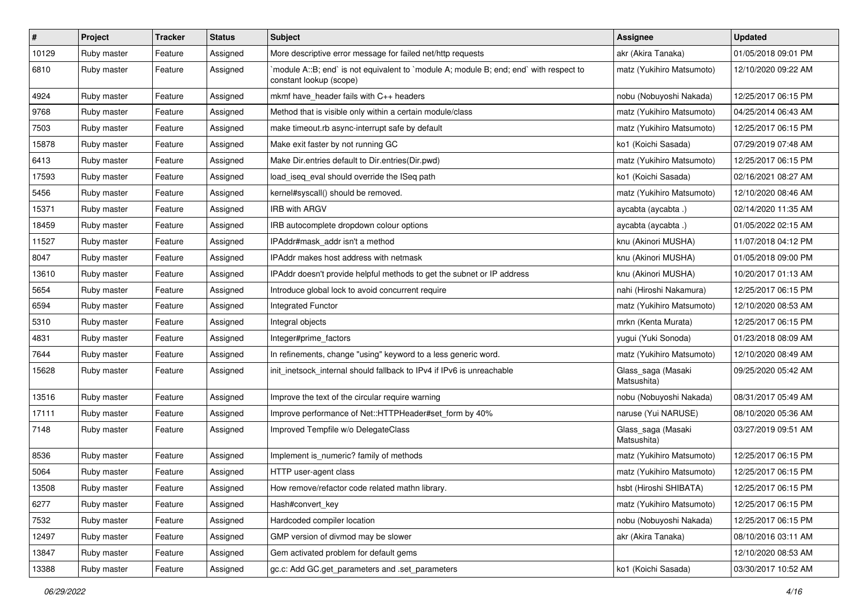| #     | Project     | <b>Tracker</b> | <b>Status</b> | Subject                                                                                                          | <b>Assignee</b>                   | <b>Updated</b>      |
|-------|-------------|----------------|---------------|------------------------------------------------------------------------------------------------------------------|-----------------------------------|---------------------|
| 10129 | Ruby master | Feature        | Assigned      | More descriptive error message for failed net/http requests                                                      | akr (Akira Tanaka)                | 01/05/2018 09:01 PM |
| 6810  | Ruby master | Feature        | Assigned      | module A::B; end` is not equivalent to `module A; module B; end; end` with respect to<br>constant lookup (scope) | matz (Yukihiro Matsumoto)         | 12/10/2020 09:22 AM |
| 4924  | Ruby master | Feature        | Assigned      | mkmf have_header fails with C++ headers                                                                          | nobu (Nobuyoshi Nakada)           | 12/25/2017 06:15 PM |
| 9768  | Ruby master | Feature        | Assigned      | Method that is visible only within a certain module/class                                                        | matz (Yukihiro Matsumoto)         | 04/25/2014 06:43 AM |
| 7503  | Ruby master | Feature        | Assigned      | make timeout.rb async-interrupt safe by default                                                                  | matz (Yukihiro Matsumoto)         | 12/25/2017 06:15 PM |
| 15878 | Ruby master | Feature        | Assigned      | Make exit faster by not running GC                                                                               | ko1 (Koichi Sasada)               | 07/29/2019 07:48 AM |
| 6413  | Ruby master | Feature        | Assigned      | Make Dir.entries default to Dir.entries(Dir.pwd)                                                                 | matz (Yukihiro Matsumoto)         | 12/25/2017 06:15 PM |
| 17593 | Ruby master | Feature        | Assigned      | load_iseq_eval should override the ISeq path                                                                     | ko1 (Koichi Sasada)               | 02/16/2021 08:27 AM |
| 5456  | Ruby master | Feature        | Assigned      | kernel#syscall() should be removed.                                                                              | matz (Yukihiro Matsumoto)         | 12/10/2020 08:46 AM |
| 15371 | Ruby master | Feature        | Assigned      | <b>IRB with ARGV</b>                                                                                             | aycabta (aycabta.)                | 02/14/2020 11:35 AM |
| 18459 | Ruby master | Feature        | Assigned      | IRB autocomplete dropdown colour options                                                                         | aycabta (aycabta .)               | 01/05/2022 02:15 AM |
| 11527 | Ruby master | Feature        | Assigned      | IPAddr#mask_addr isn't a method                                                                                  | knu (Akinori MUSHA)               | 11/07/2018 04:12 PM |
| 8047  | Ruby master | Feature        | Assigned      | IPAddr makes host address with netmask                                                                           | knu (Akinori MUSHA)               | 01/05/2018 09:00 PM |
| 13610 | Ruby master | Feature        | Assigned      | IPAddr doesn't provide helpful methods to get the subnet or IP address                                           | knu (Akinori MUSHA)               | 10/20/2017 01:13 AM |
| 5654  | Ruby master | Feature        | Assigned      | Introduce global lock to avoid concurrent require                                                                | nahi (Hiroshi Nakamura)           | 12/25/2017 06:15 PM |
| 6594  | Ruby master | Feature        | Assigned      | Integrated Functor                                                                                               | matz (Yukihiro Matsumoto)         | 12/10/2020 08:53 AM |
| 5310  | Ruby master | Feature        | Assigned      | Integral objects                                                                                                 | mrkn (Kenta Murata)               | 12/25/2017 06:15 PM |
| 4831  | Ruby master | Feature        | Assigned      | Integer#prime factors                                                                                            | yugui (Yuki Sonoda)               | 01/23/2018 08:09 AM |
| 7644  | Ruby master | Feature        | Assigned      | In refinements, change "using" keyword to a less generic word.                                                   | matz (Yukihiro Matsumoto)         | 12/10/2020 08:49 AM |
| 15628 | Ruby master | Feature        | Assigned      | init_inetsock_internal should fallback to IPv4 if IPv6 is unreachable                                            | Glass_saga (Masaki<br>Matsushita) | 09/25/2020 05:42 AM |
| 13516 | Ruby master | Feature        | Assigned      | Improve the text of the circular require warning                                                                 | nobu (Nobuyoshi Nakada)           | 08/31/2017 05:49 AM |
| 17111 | Ruby master | Feature        | Assigned      | Improve performance of Net::HTTPHeader#set form by 40%                                                           | naruse (Yui NARUSE)               | 08/10/2020 05:36 AM |
| 7148  | Ruby master | Feature        | Assigned      | Improved Tempfile w/o DelegateClass                                                                              | Glass_saga (Masaki<br>Matsushita) | 03/27/2019 09:51 AM |
| 8536  | Ruby master | Feature        | Assigned      | Implement is_numeric? family of methods                                                                          | matz (Yukihiro Matsumoto)         | 12/25/2017 06:15 PM |
| 5064  | Ruby master | Feature        | Assigned      | HTTP user-agent class                                                                                            | matz (Yukihiro Matsumoto)         | 12/25/2017 06:15 PM |
| 13508 | Ruby master | Feature        | Assigned      | How remove/refactor code related mathn library.                                                                  | hsbt (Hiroshi SHIBATA)            | 12/25/2017 06:15 PM |
| 6277  | Ruby master | Feature        | Assigned      | Hash#convert_key                                                                                                 | matz (Yukihiro Matsumoto)         | 12/25/2017 06:15 PM |
| 7532  | Ruby master | Feature        | Assigned      | Hardcoded compiler location                                                                                      | nobu (Nobuyoshi Nakada)           | 12/25/2017 06:15 PM |
| 12497 | Ruby master | Feature        | Assigned      | GMP version of divmod may be slower                                                                              | akr (Akira Tanaka)                | 08/10/2016 03:11 AM |
| 13847 | Ruby master | Feature        | Assigned      | Gem activated problem for default gems                                                                           |                                   | 12/10/2020 08:53 AM |
| 13388 | Ruby master | Feature        | Assigned      | gc.c: Add GC.get_parameters and .set_parameters                                                                  | ko1 (Koichi Sasada)               | 03/30/2017 10:52 AM |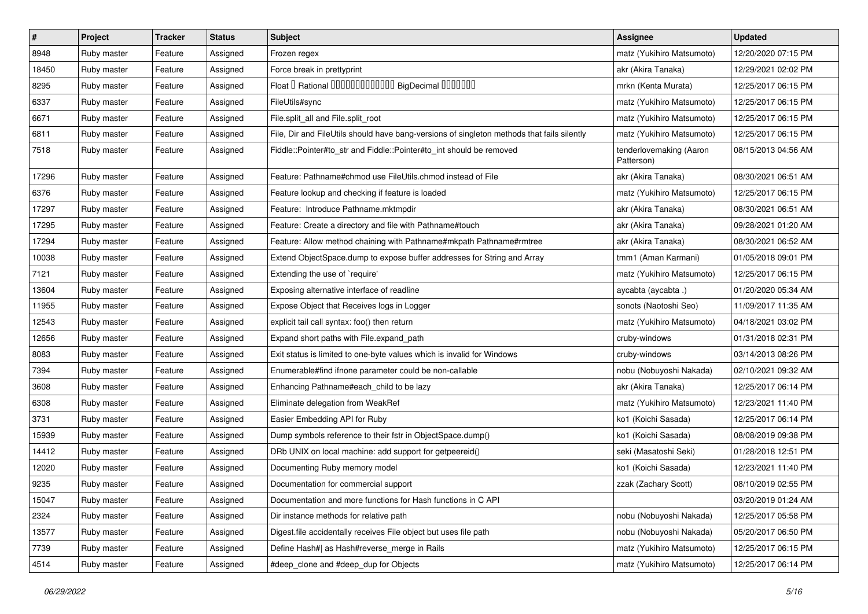| #     | Project     | <b>Tracker</b> | <b>Status</b> | Subject                                                                                    | Assignee                              | <b>Updated</b>      |
|-------|-------------|----------------|---------------|--------------------------------------------------------------------------------------------|---------------------------------------|---------------------|
| 8948  | Ruby master | Feature        | Assigned      | Frozen regex                                                                               | matz (Yukihiro Matsumoto)             | 12/20/2020 07:15 PM |
| 18450 | Ruby master | Feature        | Assigned      | Force break in prettyprint                                                                 | akr (Akira Tanaka)                    | 12/29/2021 02:02 PM |
| 8295  | Ruby master | Feature        | Assigned      | Float I Rational 0000000000000 BigDecimal 0000000                                          | mrkn (Kenta Murata)                   | 12/25/2017 06:15 PM |
| 6337  | Ruby master | Feature        | Assigned      | FileUtils#sync                                                                             | matz (Yukihiro Matsumoto)             | 12/25/2017 06:15 PM |
| 6671  | Ruby master | Feature        | Assigned      | File.split_all and File.split_root                                                         | matz (Yukihiro Matsumoto)             | 12/25/2017 06:15 PM |
| 6811  | Ruby master | Feature        | Assigned      | File, Dir and FileUtils should have bang-versions of singleton methods that fails silently | matz (Yukihiro Matsumoto)             | 12/25/2017 06:15 PM |
| 7518  | Ruby master | Feature        | Assigned      | Fiddle::Pointer#to_str and Fiddle::Pointer#to_int should be removed                        | tenderlovemaking (Aaron<br>Patterson) | 08/15/2013 04:56 AM |
| 17296 | Ruby master | Feature        | Assigned      | Feature: Pathname#chmod use FileUtils.chmod instead of File                                | akr (Akira Tanaka)                    | 08/30/2021 06:51 AM |
| 6376  | Ruby master | Feature        | Assigned      | Feature lookup and checking if feature is loaded                                           | matz (Yukihiro Matsumoto)             | 12/25/2017 06:15 PM |
| 17297 | Ruby master | Feature        | Assigned      | Feature: Introduce Pathname.mktmpdir                                                       | akr (Akira Tanaka)                    | 08/30/2021 06:51 AM |
| 17295 | Ruby master | Feature        | Assigned      | Feature: Create a directory and file with Pathname#touch                                   | akr (Akira Tanaka)                    | 09/28/2021 01:20 AM |
| 17294 | Ruby master | Feature        | Assigned      | Feature: Allow method chaining with Pathname#mkpath Pathname#rmtree                        | akr (Akira Tanaka)                    | 08/30/2021 06:52 AM |
| 10038 | Ruby master | Feature        | Assigned      | Extend ObjectSpace.dump to expose buffer addresses for String and Array                    | tmm1 (Aman Karmani)                   | 01/05/2018 09:01 PM |
| 7121  | Ruby master | Feature        | Assigned      | Extending the use of `require'                                                             | matz (Yukihiro Matsumoto)             | 12/25/2017 06:15 PM |
| 13604 | Ruby master | Feature        | Assigned      | Exposing alternative interface of readline                                                 | aycabta (aycabta .)                   | 01/20/2020 05:34 AM |
| 11955 | Ruby master | Feature        | Assigned      | Expose Object that Receives logs in Logger                                                 | sonots (Naotoshi Seo)                 | 11/09/2017 11:35 AM |
| 12543 | Ruby master | Feature        | Assigned      | explicit tail call syntax: foo() then return                                               | matz (Yukihiro Matsumoto)             | 04/18/2021 03:02 PM |
| 12656 | Ruby master | Feature        | Assigned      | Expand short paths with File.expand path                                                   | cruby-windows                         | 01/31/2018 02:31 PM |
| 8083  | Ruby master | Feature        | Assigned      | Exit status is limited to one-byte values which is invalid for Windows                     | cruby-windows                         | 03/14/2013 08:26 PM |
| 7394  | Ruby master | Feature        | Assigned      | Enumerable#find ifnone parameter could be non-callable                                     | nobu (Nobuyoshi Nakada)               | 02/10/2021 09:32 AM |
| 3608  | Ruby master | Feature        | Assigned      | Enhancing Pathname#each_child to be lazy                                                   | akr (Akira Tanaka)                    | 12/25/2017 06:14 PM |
| 6308  | Ruby master | Feature        | Assigned      | Eliminate delegation from WeakRef                                                          | matz (Yukihiro Matsumoto)             | 12/23/2021 11:40 PM |
| 3731  | Ruby master | Feature        | Assigned      | Easier Embedding API for Ruby                                                              | ko1 (Koichi Sasada)                   | 12/25/2017 06:14 PM |
| 15939 | Ruby master | Feature        | Assigned      | Dump symbols reference to their fstr in ObjectSpace.dump()                                 | ko1 (Koichi Sasada)                   | 08/08/2019 09:38 PM |
| 14412 | Ruby master | Feature        | Assigned      | DRb UNIX on local machine: add support for getpeereid()                                    | seki (Masatoshi Seki)                 | 01/28/2018 12:51 PM |
| 12020 | Ruby master | Feature        | Assigned      | Documenting Ruby memory model                                                              | ko1 (Koichi Sasada)                   | 12/23/2021 11:40 PM |
| 9235  | Ruby master | Feature        | Assigned      | Documentation for commercial support                                                       | zzak (Zachary Scott)                  | 08/10/2019 02:55 PM |
| 15047 | Ruby master | Feature        | Assigned      | Documentation and more functions for Hash functions in C API                               |                                       | 03/20/2019 01:24 AM |
| 2324  | Ruby master | Feature        | Assigned      | Dir instance methods for relative path                                                     | nobu (Nobuyoshi Nakada)               | 12/25/2017 05:58 PM |
| 13577 | Ruby master | Feature        | Assigned      | Digest file accidentally receives File object but uses file path                           | nobu (Nobuyoshi Nakada)               | 05/20/2017 06:50 PM |
| 7739  | Ruby master | Feature        | Assigned      | Define Hash#  as Hash#reverse_merge in Rails                                               | matz (Yukihiro Matsumoto)             | 12/25/2017 06:15 PM |
| 4514  | Ruby master | Feature        | Assigned      | #deep_clone and #deep_dup for Objects                                                      | matz (Yukihiro Matsumoto)             | 12/25/2017 06:14 PM |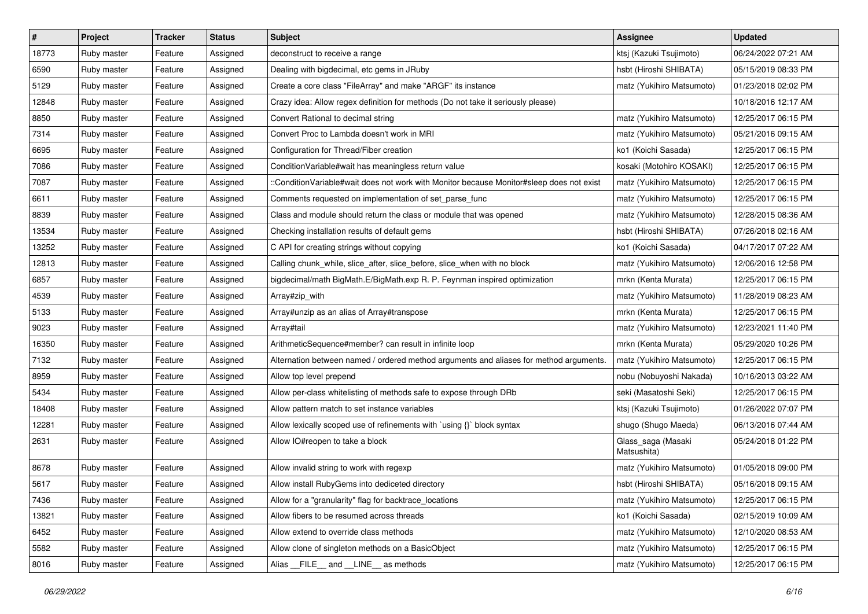| #     | Project     | <b>Tracker</b> | <b>Status</b> | Subject                                                                                  | <b>Assignee</b>                   | <b>Updated</b>      |
|-------|-------------|----------------|---------------|------------------------------------------------------------------------------------------|-----------------------------------|---------------------|
| 18773 | Ruby master | Feature        | Assigned      | deconstruct to receive a range                                                           | ktsj (Kazuki Tsujimoto)           | 06/24/2022 07:21 AM |
| 6590  | Ruby master | Feature        | Assigned      | Dealing with bigdecimal, etc gems in JRuby                                               | hsbt (Hiroshi SHIBATA)            | 05/15/2019 08:33 PM |
| 5129  | Ruby master | Feature        | Assigned      | Create a core class "FileArray" and make "ARGF" its instance                             | matz (Yukihiro Matsumoto)         | 01/23/2018 02:02 PM |
| 12848 | Ruby master | Feature        | Assigned      | Crazy idea: Allow regex definition for methods (Do not take it seriously please)         |                                   | 10/18/2016 12:17 AM |
| 8850  | Ruby master | Feature        | Assigned      | Convert Rational to decimal string                                                       | matz (Yukihiro Matsumoto)         | 12/25/2017 06:15 PM |
| 7314  | Ruby master | Feature        | Assigned      | Convert Proc to Lambda doesn't work in MRI                                               | matz (Yukihiro Matsumoto)         | 05/21/2016 09:15 AM |
| 6695  | Ruby master | Feature        | Assigned      | Configuration for Thread/Fiber creation                                                  | ko1 (Koichi Sasada)               | 12/25/2017 06:15 PM |
| 7086  | Ruby master | Feature        | Assigned      | ConditionVariable#wait has meaningless return value                                      | kosaki (Motohiro KOSAKI)          | 12/25/2017 06:15 PM |
| 7087  | Ruby master | Feature        | Assigned      | ::ConditionVariable#wait does not work with Monitor because Monitor#sleep does not exist | matz (Yukihiro Matsumoto)         | 12/25/2017 06:15 PM |
| 6611  | Ruby master | Feature        | Assigned      | Comments requested on implementation of set_parse_func                                   | matz (Yukihiro Matsumoto)         | 12/25/2017 06:15 PM |
| 8839  | Ruby master | Feature        | Assigned      | Class and module should return the class or module that was opened                       | matz (Yukihiro Matsumoto)         | 12/28/2015 08:36 AM |
| 13534 | Ruby master | Feature        | Assigned      | Checking installation results of default gems                                            | hsbt (Hiroshi SHIBATA)            | 07/26/2018 02:16 AM |
| 13252 | Ruby master | Feature        | Assigned      | C API for creating strings without copying                                               | ko1 (Koichi Sasada)               | 04/17/2017 07:22 AM |
| 12813 | Ruby master | Feature        | Assigned      | Calling chunk_while, slice_after, slice_before, slice_when with no block                 | matz (Yukihiro Matsumoto)         | 12/06/2016 12:58 PM |
| 6857  | Ruby master | Feature        | Assigned      | bigdecimal/math BigMath.E/BigMath.exp R. P. Feynman inspired optimization                | mrkn (Kenta Murata)               | 12/25/2017 06:15 PM |
| 4539  | Ruby master | Feature        | Assigned      | Array#zip_with                                                                           | matz (Yukihiro Matsumoto)         | 11/28/2019 08:23 AM |
| 5133  | Ruby master | Feature        | Assigned      | Array#unzip as an alias of Array#transpose                                               | mrkn (Kenta Murata)               | 12/25/2017 06:15 PM |
| 9023  | Ruby master | Feature        | Assigned      | Array#tail                                                                               | matz (Yukihiro Matsumoto)         | 12/23/2021 11:40 PM |
| 16350 | Ruby master | Feature        | Assigned      | ArithmeticSequence#member? can result in infinite loop                                   | mrkn (Kenta Murata)               | 05/29/2020 10:26 PM |
| 7132  | Ruby master | Feature        | Assigned      | Alternation between named / ordered method arguments and aliases for method arguments.   | matz (Yukihiro Matsumoto)         | 12/25/2017 06:15 PM |
| 8959  | Ruby master | Feature        | Assigned      | Allow top level prepend                                                                  | nobu (Nobuyoshi Nakada)           | 10/16/2013 03:22 AM |
| 5434  | Ruby master | Feature        | Assigned      | Allow per-class whitelisting of methods safe to expose through DRb                       | seki (Masatoshi Seki)             | 12/25/2017 06:15 PM |
| 18408 | Ruby master | Feature        | Assigned      | Allow pattern match to set instance variables                                            | ktsj (Kazuki Tsujimoto)           | 01/26/2022 07:07 PM |
| 12281 | Ruby master | Feature        | Assigned      | Allow lexically scoped use of refinements with `using {}` block syntax                   | shugo (Shugo Maeda)               | 06/13/2016 07:44 AM |
| 2631  | Ruby master | Feature        | Assigned      | Allow IO#reopen to take a block                                                          | Glass_saga (Masaki<br>Matsushita) | 05/24/2018 01:22 PM |
| 8678  | Ruby master | Feature        | Assigned      | Allow invalid string to work with regexp                                                 | matz (Yukihiro Matsumoto)         | 01/05/2018 09:00 PM |
| 5617  | Ruby master | Feature        | Assigned      | Allow install RubyGems into dediceted directory                                          | hsbt (Hiroshi SHIBATA)            | 05/16/2018 09:15 AM |
| 7436  | Ruby master | Feature        | Assigned      | Allow for a "granularity" flag for backtrace_locations                                   | matz (Yukihiro Matsumoto)         | 12/25/2017 06:15 PM |
| 13821 | Ruby master | Feature        | Assigned      | Allow fibers to be resumed across threads                                                | ko1 (Koichi Sasada)               | 02/15/2019 10:09 AM |
| 6452  | Ruby master | Feature        | Assigned      | Allow extend to override class methods                                                   | matz (Yukihiro Matsumoto)         | 12/10/2020 08:53 AM |
| 5582  | Ruby master | Feature        | Assigned      | Allow clone of singleton methods on a BasicObject                                        | matz (Yukihiro Matsumoto)         | 12/25/2017 06:15 PM |
| 8016  | Ruby master | Feature        | Assigned      | Alias FILE and LINE as methods                                                           | matz (Yukihiro Matsumoto)         | 12/25/2017 06:15 PM |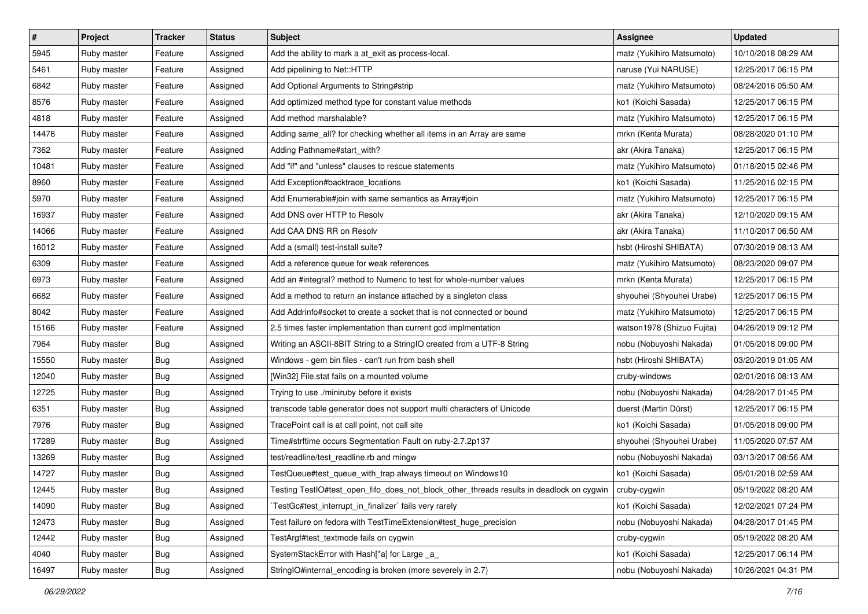| $\pmb{\#}$ | Project     | <b>Tracker</b> | <b>Status</b> | Subject                                                                                                 | <b>Assignee</b>            | <b>Updated</b>      |
|------------|-------------|----------------|---------------|---------------------------------------------------------------------------------------------------------|----------------------------|---------------------|
| 5945       | Ruby master | Feature        | Assigned      | Add the ability to mark a at_exit as process-local.                                                     | matz (Yukihiro Matsumoto)  | 10/10/2018 08:29 AM |
| 5461       | Ruby master | Feature        | Assigned      | Add pipelining to Net::HTTP                                                                             | naruse (Yui NARUSE)        | 12/25/2017 06:15 PM |
| 6842       | Ruby master | Feature        | Assigned      | Add Optional Arguments to String#strip                                                                  | matz (Yukihiro Matsumoto)  | 08/24/2016 05:50 AM |
| 8576       | Ruby master | Feature        | Assigned      | Add optimized method type for constant value methods                                                    | ko1 (Koichi Sasada)        | 12/25/2017 06:15 PM |
| 4818       | Ruby master | Feature        | Assigned      | Add method marshalable?                                                                                 | matz (Yukihiro Matsumoto)  | 12/25/2017 06:15 PM |
| 14476      | Ruby master | Feature        | Assigned      | Adding same_all? for checking whether all items in an Array are same                                    | mrkn (Kenta Murata)        | 08/28/2020 01:10 PM |
| 7362       | Ruby master | Feature        | Assigned      | Adding Pathname#start_with?                                                                             | akr (Akira Tanaka)         | 12/25/2017 06:15 PM |
| 10481      | Ruby master | Feature        | Assigned      | Add "if" and "unless" clauses to rescue statements                                                      | matz (Yukihiro Matsumoto)  | 01/18/2015 02:46 PM |
| 8960       | Ruby master | Feature        | Assigned      | Add Exception#backtrace_locations                                                                       | ko1 (Koichi Sasada)        | 11/25/2016 02:15 PM |
| 5970       | Ruby master | Feature        | Assigned      | Add Enumerable#join with same semantics as Array#join                                                   | matz (Yukihiro Matsumoto)  | 12/25/2017 06:15 PM |
| 16937      | Ruby master | Feature        | Assigned      | Add DNS over HTTP to Resolv                                                                             | akr (Akira Tanaka)         | 12/10/2020 09:15 AM |
| 14066      | Ruby master | Feature        | Assigned      | Add CAA DNS RR on Resolv                                                                                | akr (Akira Tanaka)         | 11/10/2017 06:50 AM |
| 16012      | Ruby master | Feature        | Assigned      | Add a (small) test-install suite?                                                                       | hsbt (Hiroshi SHIBATA)     | 07/30/2019 08:13 AM |
| 6309       | Ruby master | Feature        | Assigned      | Add a reference queue for weak references                                                               | matz (Yukihiro Matsumoto)  | 08/23/2020 09:07 PM |
| 6973       | Ruby master | Feature        | Assigned      | Add an #integral? method to Numeric to test for whole-number values                                     | mrkn (Kenta Murata)        | 12/25/2017 06:15 PM |
| 6682       | Ruby master | Feature        | Assigned      | Add a method to return an instance attached by a singleton class                                        | shyouhei (Shyouhei Urabe)  | 12/25/2017 06:15 PM |
| 8042       | Ruby master | Feature        | Assigned      | Add Addrinfo#socket to create a socket that is not connected or bound                                   | matz (Yukihiro Matsumoto)  | 12/25/2017 06:15 PM |
| 15166      | Ruby master | Feature        | Assigned      | 2.5 times faster implementation than current gcd implmentation                                          | watson1978 (Shizuo Fujita) | 04/26/2019 09:12 PM |
| 7964       | Ruby master | Bug            | Assigned      | Writing an ASCII-8BIT String to a StringIO created from a UTF-8 String                                  | nobu (Nobuyoshi Nakada)    | 01/05/2018 09:00 PM |
| 15550      | Ruby master | <b>Bug</b>     | Assigned      | Windows - gem bin files - can't run from bash shell                                                     | hsbt (Hiroshi SHIBATA)     | 03/20/2019 01:05 AM |
| 12040      | Ruby master | Bug            | Assigned      | [Win32] File.stat fails on a mounted volume                                                             | cruby-windows              | 02/01/2016 08:13 AM |
| 12725      | Ruby master | <b>Bug</b>     | Assigned      | Trying to use ./miniruby before it exists                                                               | nobu (Nobuyoshi Nakada)    | 04/28/2017 01:45 PM |
| 6351       | Ruby master | Bug            | Assigned      | transcode table generator does not support multi characters of Unicode                                  | duerst (Martin Dürst)      | 12/25/2017 06:15 PM |
| 7976       | Ruby master | Bug            | Assigned      | TracePoint call is at call point, not call site                                                         | ko1 (Koichi Sasada)        | 01/05/2018 09:00 PM |
| 17289      | Ruby master | Bug            | Assigned      | Time#strftime occurs Segmentation Fault on ruby-2.7.2p137                                               | shyouhei (Shyouhei Urabe)  | 11/05/2020 07:57 AM |
| 13269      | Ruby master | Bug            | Assigned      | test/readline/test_readline.rb and mingw                                                                | nobu (Nobuyoshi Nakada)    | 03/13/2017 08:56 AM |
| 14727      | Ruby master | Bug            | Assigned      | TestQueue#test_queue_with_trap always timeout on Windows10                                              | ko1 (Koichi Sasada)        | 05/01/2018 02:59 AM |
| 12445      | Ruby master | Bug            | Assigned      | Testing TestIO#test_open_fifo_does_not_block_other_threads results in deadlock on cygwin   cruby-cygwin |                            | 05/19/2022 08:20 AM |
| 14090      | Ruby master | <b>Bug</b>     | Assigned      | TestGc#test interrupt in finalizer` fails very rarely                                                   | ko1 (Koichi Sasada)        | 12/02/2021 07:24 PM |
| 12473      | Ruby master | Bug            | Assigned      | Test failure on fedora with TestTimeExtension#test_huge_precision                                       | nobu (Nobuyoshi Nakada)    | 04/28/2017 01:45 PM |
| 12442      | Ruby master | <b>Bug</b>     | Assigned      | TestArgf#test_textmode fails on cygwin                                                                  | cruby-cygwin               | 05/19/2022 08:20 AM |
| 4040       | Ruby master | <b>Bug</b>     | Assigned      | SystemStackError with Hash[*a] for Large a                                                              | ko1 (Koichi Sasada)        | 12/25/2017 06:14 PM |
| 16497      | Ruby master | Bug            | Assigned      | StringIO#internal_encoding is broken (more severely in 2.7)                                             | nobu (Nobuyoshi Nakada)    | 10/26/2021 04:31 PM |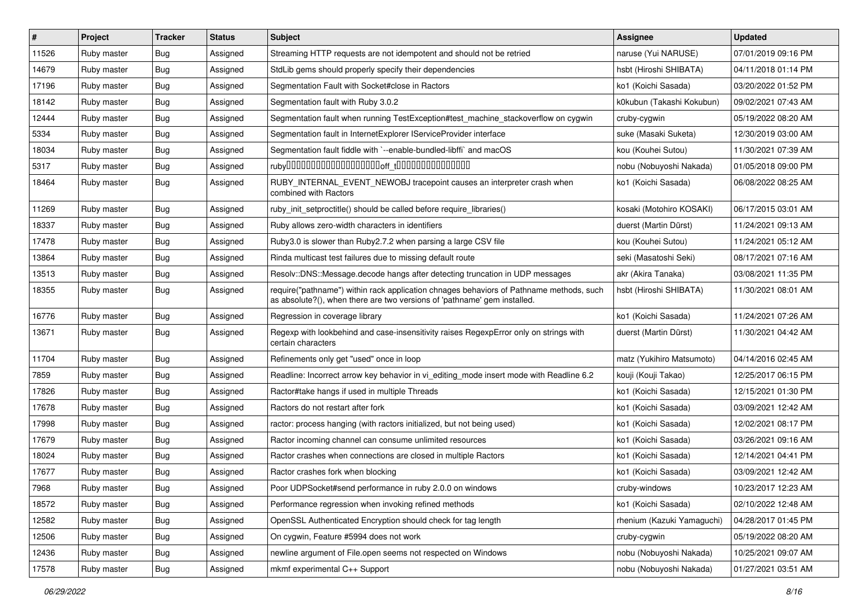| $\vert$ # | Project     | <b>Tracker</b> | <b>Status</b> | <b>Subject</b>                                                                                                                                                      | <b>Assignee</b>            | <b>Updated</b>      |
|-----------|-------------|----------------|---------------|---------------------------------------------------------------------------------------------------------------------------------------------------------------------|----------------------------|---------------------|
| 11526     | Ruby master | Bug            | Assigned      | Streaming HTTP requests are not idempotent and should not be retried                                                                                                | naruse (Yui NARUSE)        | 07/01/2019 09:16 PM |
| 14679     | Ruby master | Bug            | Assigned      | StdLib gems should properly specify their dependencies                                                                                                              | hsbt (Hiroshi SHIBATA)     | 04/11/2018 01:14 PM |
| 17196     | Ruby master | Bug            | Assigned      | Segmentation Fault with Socket#close in Ractors                                                                                                                     | ko1 (Koichi Sasada)        | 03/20/2022 01:52 PM |
| 18142     | Ruby master | Bug            | Assigned      | Segmentation fault with Ruby 3.0.2                                                                                                                                  | k0kubun (Takashi Kokubun)  | 09/02/2021 07:43 AM |
| 12444     | Ruby master | Bug            | Assigned      | Segmentation fault when running TestException#test_machine_stackoverflow on cygwin                                                                                  | cruby-cygwin               | 05/19/2022 08:20 AM |
| 5334      | Ruby master | Bug            | Assigned      | Segmentation fault in InternetExplorer IServiceProvider interface                                                                                                   | suke (Masaki Suketa)       | 12/30/2019 03:00 AM |
| 18034     | Ruby master | Bug            | Assigned      | Segmentation fault fiddle with `--enable-bundled-libffi` and macOS                                                                                                  | kou (Kouhei Sutou)         | 11/30/2021 07:39 AM |
| 5317      | Ruby master | Bug            | Assigned      |                                                                                                                                                                     | nobu (Nobuyoshi Nakada)    | 01/05/2018 09:00 PM |
| 18464     | Ruby master | Bug            | Assigned      | RUBY_INTERNAL_EVENT_NEWOBJ tracepoint causes an interpreter crash when<br>combined with Ractors                                                                     | ko1 (Koichi Sasada)        | 06/08/2022 08:25 AM |
| 11269     | Ruby master | Bug            | Assigned      | ruby init setproctitle() should be called before require libraries()                                                                                                | kosaki (Motohiro KOSAKI)   | 06/17/2015 03:01 AM |
| 18337     | Ruby master | Bug            | Assigned      | Ruby allows zero-width characters in identifiers                                                                                                                    | duerst (Martin Dürst)      | 11/24/2021 09:13 AM |
| 17478     | Ruby master | Bug            | Assigned      | Ruby3.0 is slower than Ruby2.7.2 when parsing a large CSV file                                                                                                      | kou (Kouhei Sutou)         | 11/24/2021 05:12 AM |
| 13864     | Ruby master | Bug            | Assigned      | Rinda multicast test failures due to missing default route                                                                                                          | seki (Masatoshi Seki)      | 08/17/2021 07:16 AM |
| 13513     | Ruby master | Bug            | Assigned      | Resolv::DNS::Message.decode hangs after detecting truncation in UDP messages                                                                                        | akr (Akira Tanaka)         | 03/08/2021 11:35 PM |
| 18355     | Ruby master | Bug            | Assigned      | require("pathname") within rack application chnages behaviors of Pathname methods, such<br>as absolute?(), when there are two versions of 'pathname' gem installed. | hsbt (Hiroshi SHIBATA)     | 11/30/2021 08:01 AM |
| 16776     | Ruby master | Bug            | Assigned      | Regression in coverage library                                                                                                                                      | ko1 (Koichi Sasada)        | 11/24/2021 07:26 AM |
| 13671     | Ruby master | Bug            | Assigned      | Regexp with lookbehind and case-insensitivity raises RegexpError only on strings with<br>certain characters                                                         | duerst (Martin Dürst)      | 11/30/2021 04:42 AM |
| 11704     | Ruby master | Bug            | Assigned      | Refinements only get "used" once in loop                                                                                                                            | matz (Yukihiro Matsumoto)  | 04/14/2016 02:45 AM |
| 7859      | Ruby master | Bug            | Assigned      | Readline: Incorrect arrow key behavior in vi editing mode insert mode with Readline 6.2                                                                             | kouji (Kouji Takao)        | 12/25/2017 06:15 PM |
| 17826     | Ruby master | Bug            | Assigned      | Ractor#take hangs if used in multiple Threads                                                                                                                       | ko1 (Koichi Sasada)        | 12/15/2021 01:30 PM |
| 17678     | Ruby master | Bug            | Assigned      | Ractors do not restart after fork                                                                                                                                   | ko1 (Koichi Sasada)        | 03/09/2021 12:42 AM |
| 17998     | Ruby master | Bug            | Assigned      | ractor: process hanging (with ractors initialized, but not being used)                                                                                              | ko1 (Koichi Sasada)        | 12/02/2021 08:17 PM |
| 17679     | Ruby master | Bug            | Assigned      | Ractor incoming channel can consume unlimited resources                                                                                                             | ko1 (Koichi Sasada)        | 03/26/2021 09:16 AM |
| 18024     | Ruby master | Bug            | Assigned      | Ractor crashes when connections are closed in multiple Ractors                                                                                                      | ko1 (Koichi Sasada)        | 12/14/2021 04:41 PM |
| 17677     | Ruby master | Bug            | Assigned      | Ractor crashes fork when blocking                                                                                                                                   | ko1 (Koichi Sasada)        | 03/09/2021 12:42 AM |
| 7968      | Ruby master | Bug            | Assigned      | Poor UDPSocket#send performance in ruby 2.0.0 on windows                                                                                                            | cruby-windows              | 10/23/2017 12:23 AM |
| 18572     | Ruby master | <b>Bug</b>     | Assigned      | Performance regression when invoking refined methods                                                                                                                | ko1 (Koichi Sasada)        | 02/10/2022 12:48 AM |
| 12582     | Ruby master | <b>Bug</b>     | Assigned      | OpenSSL Authenticated Encryption should check for tag length                                                                                                        | rhenium (Kazuki Yamaguchi) | 04/28/2017 01:45 PM |
| 12506     | Ruby master | Bug            | Assigned      | On cygwin, Feature #5994 does not work                                                                                                                              | cruby-cygwin               | 05/19/2022 08:20 AM |
| 12436     | Ruby master | Bug            | Assigned      | newline argument of File.open seems not respected on Windows                                                                                                        | nobu (Nobuyoshi Nakada)    | 10/25/2021 09:07 AM |
| 17578     | Ruby master | Bug            | Assigned      | mkmf experimental C++ Support                                                                                                                                       | nobu (Nobuyoshi Nakada)    | 01/27/2021 03:51 AM |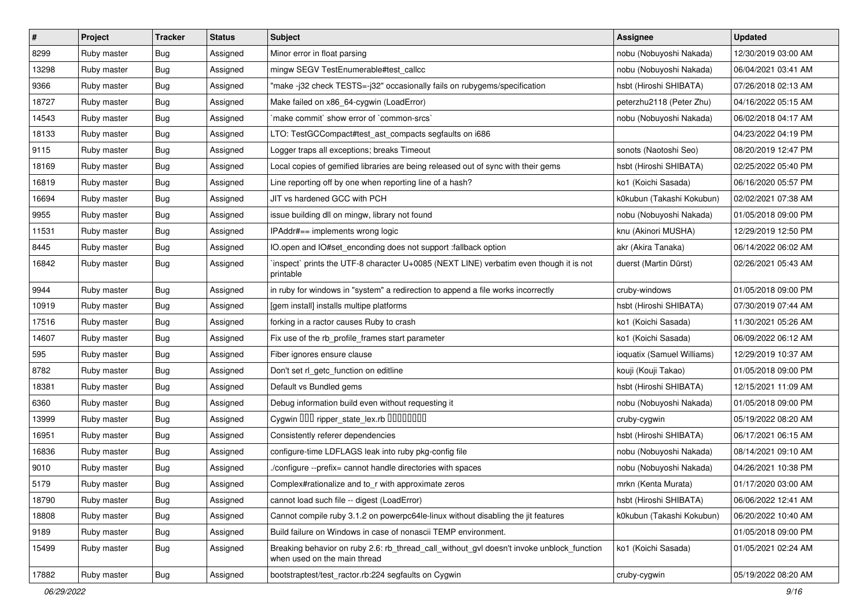| $\sharp$ | Project     | <b>Tracker</b> | <b>Status</b> | Subject                                                                                                                   | <b>Assignee</b>            | <b>Updated</b>      |
|----------|-------------|----------------|---------------|---------------------------------------------------------------------------------------------------------------------------|----------------------------|---------------------|
| 8299     | Ruby master | Bug            | Assigned      | Minor error in float parsing                                                                                              | nobu (Nobuyoshi Nakada)    | 12/30/2019 03:00 AM |
| 13298    | Ruby master | <b>Bug</b>     | Assigned      | mingw SEGV TestEnumerable#test_callcc                                                                                     | nobu (Nobuyoshi Nakada)    | 06/04/2021 03:41 AM |
| 9366     | Ruby master | Bug            | Assigned      | "make -j32 check TESTS=-j32" occasionally fails on rubygems/specification                                                 | hsbt (Hiroshi SHIBATA)     | 07/26/2018 02:13 AM |
| 18727    | Ruby master | <b>Bug</b>     | Assigned      | Make failed on x86_64-cygwin (LoadError)                                                                                  | peterzhu2118 (Peter Zhu)   | 04/16/2022 05:15 AM |
| 14543    | Ruby master | Bug            | Assigned      | `make commit` show error of `common-srcs`                                                                                 | nobu (Nobuyoshi Nakada)    | 06/02/2018 04:17 AM |
| 18133    | Ruby master | <b>Bug</b>     | Assigned      | LTO: TestGCCompact#test_ast_compacts segfaults on i686                                                                    |                            | 04/23/2022 04:19 PM |
| 9115     | Ruby master | Bug            | Assigned      | Logger traps all exceptions; breaks Timeout                                                                               | sonots (Naotoshi Seo)      | 08/20/2019 12:47 PM |
| 18169    | Ruby master | <b>Bug</b>     | Assigned      | Local copies of gemified libraries are being released out of sync with their gems                                         | hsbt (Hiroshi SHIBATA)     | 02/25/2022 05:40 PM |
| 16819    | Ruby master | <b>Bug</b>     | Assigned      | Line reporting off by one when reporting line of a hash?                                                                  | ko1 (Koichi Sasada)        | 06/16/2020 05:57 PM |
| 16694    | Ruby master | <b>Bug</b>     | Assigned      | JIT vs hardened GCC with PCH                                                                                              | k0kubun (Takashi Kokubun)  | 02/02/2021 07:38 AM |
| 9955     | Ruby master | <b>Bug</b>     | Assigned      | issue building dll on mingw, library not found                                                                            | nobu (Nobuyoshi Nakada)    | 01/05/2018 09:00 PM |
| 11531    | Ruby master | Bug            | Assigned      | IPAddr#== implements wrong logic                                                                                          | knu (Akinori MUSHA)        | 12/29/2019 12:50 PM |
| 8445     | Ruby master | <b>Bug</b>     | Assigned      | IO.open and IO#set_enconding does not support :fallback option                                                            | akr (Akira Tanaka)         | 06/14/2022 06:02 AM |
| 16842    | Ruby master | Bug            | Assigned      | 'inspect' prints the UTF-8 character U+0085 (NEXT LINE) verbatim even though it is not<br>printable                       | duerst (Martin Dürst)      | 02/26/2021 05:43 AM |
| 9944     | Ruby master | <b>Bug</b>     | Assigned      | in ruby for windows in "system" a redirection to append a file works incorrectly                                          | cruby-windows              | 01/05/2018 09:00 PM |
| 10919    | Ruby master | <b>Bug</b>     | Assigned      | [gem install] installs multipe platforms                                                                                  | hsbt (Hiroshi SHIBATA)     | 07/30/2019 07:44 AM |
| 17516    | Ruby master | <b>Bug</b>     | Assigned      | forking in a ractor causes Ruby to crash                                                                                  | ko1 (Koichi Sasada)        | 11/30/2021 05:26 AM |
| 14607    | Ruby master | <b>Bug</b>     | Assigned      | Fix use of the rb_profile_frames start parameter                                                                          | ko1 (Koichi Sasada)        | 06/09/2022 06:12 AM |
| 595      | Ruby master | Bug            | Assigned      | Fiber ignores ensure clause                                                                                               | ioquatix (Samuel Williams) | 12/29/2019 10:37 AM |
| 8782     | Ruby master | <b>Bug</b>     | Assigned      | Don't set rl_getc_function on editline                                                                                    | kouji (Kouji Takao)        | 01/05/2018 09:00 PM |
| 18381    | Ruby master | <b>Bug</b>     | Assigned      | Default vs Bundled gems                                                                                                   | hsbt (Hiroshi SHIBATA)     | 12/15/2021 11:09 AM |
| 6360     | Ruby master | Bug            | Assigned      | Debug information build even without requesting it                                                                        | nobu (Nobuyoshi Nakada)    | 01/05/2018 09:00 PM |
| 13999    | Ruby master | Bug            | Assigned      | Cygwin 000 ripper_state_lex.rb 0000000                                                                                    | cruby-cygwin               | 05/19/2022 08:20 AM |
| 16951    | Ruby master | Bug            | Assigned      | Consistently referer dependencies                                                                                         | hsbt (Hiroshi SHIBATA)     | 06/17/2021 06:15 AM |
| 16836    | Ruby master | <b>Bug</b>     | Assigned      | configure-time LDFLAGS leak into ruby pkg-config file                                                                     | nobu (Nobuyoshi Nakada)    | 08/14/2021 09:10 AM |
| 9010     | Ruby master | Bug            | Assigned      | /configure --prefix= cannot handle directories with spaces                                                                | nobu (Nobuyoshi Nakada)    | 04/26/2021 10:38 PM |
| 5179     | Ruby master | <b>Bug</b>     | Assigned      | Complex#rationalize and to_r with approximate zeros                                                                       | mrkn (Kenta Murata)        | 01/17/2020 03:00 AM |
| 18790    | Ruby master | <b>Bug</b>     | Assigned      | cannot load such file -- digest (LoadError)                                                                               | hsbt (Hiroshi SHIBATA)     | 06/06/2022 12:41 AM |
| 18808    | Ruby master | <b>Bug</b>     | Assigned      | Cannot compile ruby 3.1.2 on powerpc64le-linux without disabling the jit features                                         | k0kubun (Takashi Kokubun)  | 06/20/2022 10:40 AM |
| 9189     | Ruby master | <b>Bug</b>     | Assigned      | Build failure on Windows in case of nonascii TEMP environment.                                                            |                            | 01/05/2018 09:00 PM |
| 15499    | Ruby master | <b>Bug</b>     | Assigned      | Breaking behavior on ruby 2.6: rb_thread_call_without_gvl doesn't invoke unblock_function<br>when used on the main thread | ko1 (Koichi Sasada)        | 01/05/2021 02:24 AM |
| 17882    | Ruby master | Bug            | Assigned      | bootstraptest/test_ractor.rb:224 segfaults on Cygwin                                                                      | cruby-cygwin               | 05/19/2022 08:20 AM |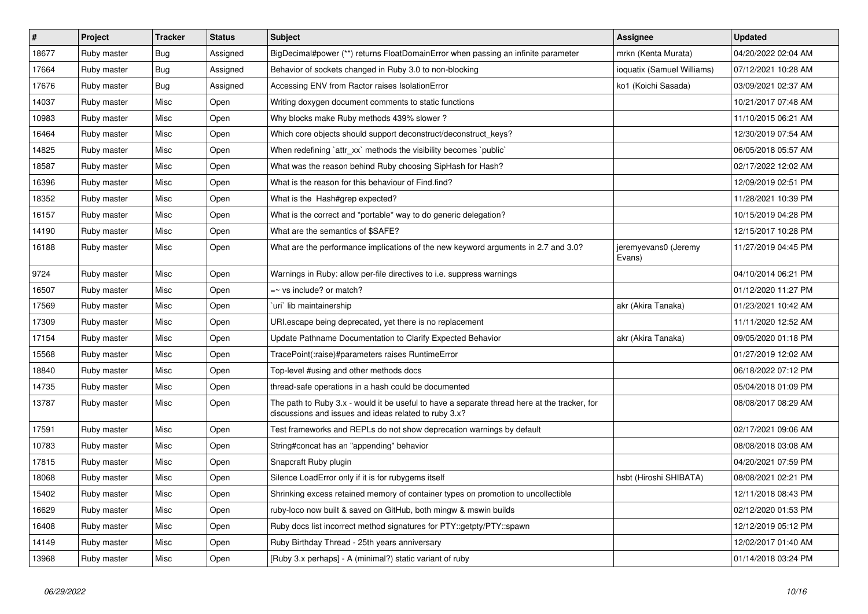| $\vert$ # | Project     | <b>Tracker</b> | <b>Status</b> | <b>Subject</b>                                                                                                                                        | Assignee                       | <b>Updated</b>      |
|-----------|-------------|----------------|---------------|-------------------------------------------------------------------------------------------------------------------------------------------------------|--------------------------------|---------------------|
| 18677     | Ruby master | Bug            | Assigned      | BigDecimal#power (**) returns FloatDomainError when passing an infinite parameter                                                                     | mrkn (Kenta Murata)            | 04/20/2022 02:04 AM |
| 17664     | Ruby master | Bug            | Assigned      | Behavior of sockets changed in Ruby 3.0 to non-blocking                                                                                               | ioquatix (Samuel Williams)     | 07/12/2021 10:28 AM |
| 17676     | Ruby master | Bug            | Assigned      | Accessing ENV from Ractor raises IsolationError                                                                                                       | ko1 (Koichi Sasada)            | 03/09/2021 02:37 AM |
| 14037     | Ruby master | Misc           | Open          | Writing doxygen document comments to static functions                                                                                                 |                                | 10/21/2017 07:48 AM |
| 10983     | Ruby master | Misc           | Open          | Why blocks make Ruby methods 439% slower?                                                                                                             |                                | 11/10/2015 06:21 AM |
| 16464     | Ruby master | Misc           | Open          | Which core objects should support deconstruct/deconstruct keys?                                                                                       |                                | 12/30/2019 07:54 AM |
| 14825     | Ruby master | Misc           | Open          | When redefining `attr xx` methods the visibility becomes `public`                                                                                     |                                | 06/05/2018 05:57 AM |
| 18587     | Ruby master | Misc           | Open          | What was the reason behind Ruby choosing SipHash for Hash?                                                                                            |                                | 02/17/2022 12:02 AM |
| 16396     | Ruby master | Misc           | Open          | What is the reason for this behaviour of Find.find?                                                                                                   |                                | 12/09/2019 02:51 PM |
| 18352     | Ruby master | Misc           | Open          | What is the Hash#grep expected?                                                                                                                       |                                | 11/28/2021 10:39 PM |
| 16157     | Ruby master | Misc           | Open          | What is the correct and *portable* way to do generic delegation?                                                                                      |                                | 10/15/2019 04:28 PM |
| 14190     | Ruby master | Misc           | Open          | What are the semantics of \$SAFE?                                                                                                                     |                                | 12/15/2017 10:28 PM |
| 16188     | Ruby master | Misc           | Open          | What are the performance implications of the new keyword arguments in 2.7 and 3.0?                                                                    | jeremyevans0 (Jeremy<br>Evans) | 11/27/2019 04:45 PM |
| 9724      | Ruby master | Misc           | Open          | Warnings in Ruby: allow per-file directives to i.e. suppress warnings                                                                                 |                                | 04/10/2014 06:21 PM |
| 16507     | Ruby master | Misc           | Open          | $=$ vs include? or match?                                                                                                                             |                                | 01/12/2020 11:27 PM |
| 17569     | Ruby master | Misc           | Open          | uri`lib maintainership`                                                                                                                               | akr (Akira Tanaka)             | 01/23/2021 10:42 AM |
| 17309     | Ruby master | Misc           | Open          | URI escape being deprecated, yet there is no replacement                                                                                              |                                | 11/11/2020 12:52 AM |
| 17154     | Ruby master | Misc           | Open          | Update Pathname Documentation to Clarify Expected Behavior                                                                                            | akr (Akira Tanaka)             | 09/05/2020 01:18 PM |
| 15568     | Ruby master | Misc           | Open          | TracePoint(:raise)#parameters raises RuntimeError                                                                                                     |                                | 01/27/2019 12:02 AM |
| 18840     | Ruby master | Misc           | Open          | Top-level #using and other methods docs                                                                                                               |                                | 06/18/2022 07:12 PM |
| 14735     | Ruby master | Misc           | Open          | thread-safe operations in a hash could be documented                                                                                                  |                                | 05/04/2018 01:09 PM |
| 13787     | Ruby master | Misc           | Open          | The path to Ruby 3.x - would it be useful to have a separate thread here at the tracker, for<br>discussions and issues and ideas related to ruby 3.x? |                                | 08/08/2017 08:29 AM |
| 17591     | Ruby master | Misc           | Open          | Test frameworks and REPLs do not show deprecation warnings by default                                                                                 |                                | 02/17/2021 09:06 AM |
| 10783     | Ruby master | Misc           | Open          | String#concat has an "appending" behavior                                                                                                             |                                | 08/08/2018 03:08 AM |
| 17815     | Ruby master | Misc           | Open          | Snapcraft Ruby plugin                                                                                                                                 |                                | 04/20/2021 07:59 PM |
| 18068     | Ruby master | Misc           | Open          | Silence LoadError only if it is for rubygems itself                                                                                                   | hsbt (Hiroshi SHIBATA)         | 08/08/2021 02:21 PM |
| 15402     | Ruby master | Misc           | Open          | Shrinking excess retained memory of container types on promotion to uncollectible                                                                     |                                | 12/11/2018 08:43 PM |
| 16629     | Ruby master | Misc           | Open          | ruby-loco now built & saved on GitHub, both mingw & mswin builds                                                                                      |                                | 02/12/2020 01:53 PM |
| 16408     | Ruby master | Misc           | Open          | Ruby docs list incorrect method signatures for PTY::getpty/PTY::spawn                                                                                 |                                | 12/12/2019 05:12 PM |
| 14149     | Ruby master | Misc           | Open          | Ruby Birthday Thread - 25th years anniversary                                                                                                         |                                | 12/02/2017 01:40 AM |
| 13968     | Ruby master | Misc           | Open          | [Ruby 3.x perhaps] - A (minimal?) static variant of ruby                                                                                              |                                | 01/14/2018 03:24 PM |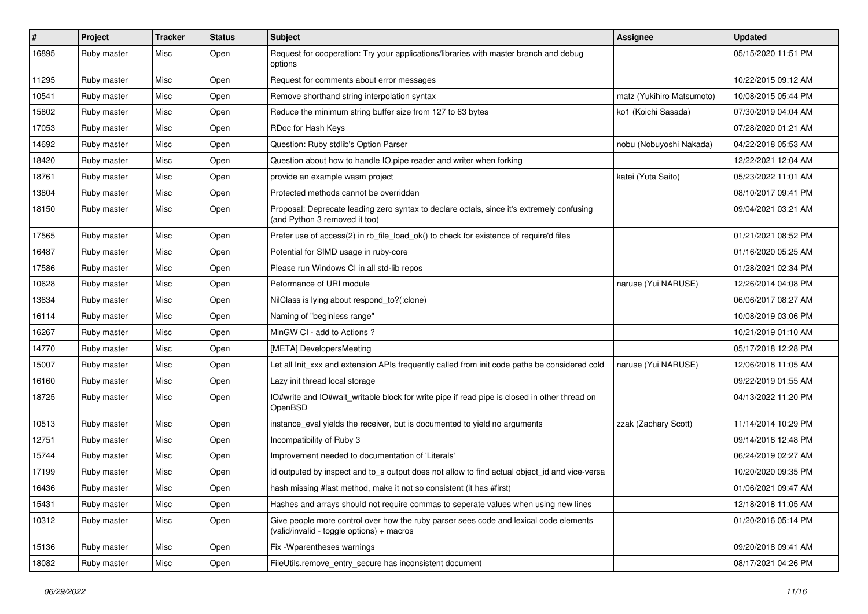| $\sharp$ | Project     | <b>Tracker</b> | <b>Status</b> | <b>Subject</b>                                                                                                                     | Assignee                  | <b>Updated</b>      |
|----------|-------------|----------------|---------------|------------------------------------------------------------------------------------------------------------------------------------|---------------------------|---------------------|
| 16895    | Ruby master | Misc           | Open          | Request for cooperation: Try your applications/libraries with master branch and debug<br>options                                   |                           | 05/15/2020 11:51 PM |
| 11295    | Ruby master | Misc           | Open          | Request for comments about error messages                                                                                          |                           | 10/22/2015 09:12 AM |
| 10541    | Ruby master | Misc           | Open          | Remove shorthand string interpolation syntax                                                                                       | matz (Yukihiro Matsumoto) | 10/08/2015 05:44 PM |
| 15802    | Ruby master | Misc           | Open          | Reduce the minimum string buffer size from 127 to 63 bytes                                                                         | ko1 (Koichi Sasada)       | 07/30/2019 04:04 AM |
| 17053    | Ruby master | Misc           | Open          | RDoc for Hash Keys                                                                                                                 |                           | 07/28/2020 01:21 AM |
| 14692    | Ruby master | Misc           | Open          | Question: Ruby stdlib's Option Parser                                                                                              | nobu (Nobuyoshi Nakada)   | 04/22/2018 05:53 AM |
| 18420    | Ruby master | Misc           | Open          | Question about how to handle IO.pipe reader and writer when forking                                                                |                           | 12/22/2021 12:04 AM |
| 18761    | Ruby master | Misc           | Open          | provide an example wasm project                                                                                                    | katei (Yuta Saito)        | 05/23/2022 11:01 AM |
| 13804    | Ruby master | Misc           | Open          | Protected methods cannot be overridden                                                                                             |                           | 08/10/2017 09:41 PM |
| 18150    | Ruby master | Misc           | Open          | Proposal: Deprecate leading zero syntax to declare octals, since it's extremely confusing<br>(and Python 3 removed it too)         |                           | 09/04/2021 03:21 AM |
| 17565    | Ruby master | Misc           | Open          | Prefer use of access(2) in rb_file_load_ok() to check for existence of require'd files                                             |                           | 01/21/2021 08:52 PM |
| 16487    | Ruby master | Misc           | Open          | Potential for SIMD usage in ruby-core                                                                                              |                           | 01/16/2020 05:25 AM |
| 17586    | Ruby master | Misc           | Open          | Please run Windows CI in all std-lib repos                                                                                         |                           | 01/28/2021 02:34 PM |
| 10628    | Ruby master | Misc           | Open          | Peformance of URI module                                                                                                           | naruse (Yui NARUSE)       | 12/26/2014 04:08 PM |
| 13634    | Ruby master | Misc           | Open          | NilClass is lying about respond_to?(:clone)                                                                                        |                           | 06/06/2017 08:27 AM |
| 16114    | Ruby master | Misc           | Open          | Naming of "beginless range"                                                                                                        |                           | 10/08/2019 03:06 PM |
| 16267    | Ruby master | Misc           | Open          | MinGW CI - add to Actions?                                                                                                         |                           | 10/21/2019 01:10 AM |
| 14770    | Ruby master | Misc           | Open          | [META] DevelopersMeeting                                                                                                           |                           | 05/17/2018 12:28 PM |
| 15007    | Ruby master | Misc           | Open          | Let all Init_xxx and extension APIs frequently called from init code paths be considered cold                                      | naruse (Yui NARUSE)       | 12/06/2018 11:05 AM |
| 16160    | Ruby master | Misc           | Open          | Lazy init thread local storage                                                                                                     |                           | 09/22/2019 01:55 AM |
| 18725    | Ruby master | Misc           | Open          | IO#write and IO#wait_writable block for write pipe if read pipe is closed in other thread on<br>OpenBSD                            |                           | 04/13/2022 11:20 PM |
| 10513    | Ruby master | Misc           | Open          | instance_eval yields the receiver, but is documented to yield no arguments                                                         | zzak (Zachary Scott)      | 11/14/2014 10:29 PM |
| 12751    | Ruby master | Misc           | Open          | Incompatibility of Ruby 3                                                                                                          |                           | 09/14/2016 12:48 PM |
| 15744    | Ruby master | Misc           | Open          | Improvement needed to documentation of 'Literals'                                                                                  |                           | 06/24/2019 02:27 AM |
| 17199    | Ruby master | Misc           | Open          | id outputed by inspect and to_s output does not allow to find actual object_id and vice-versa                                      |                           | 10/20/2020 09:35 PM |
| 16436    | Ruby master | Misc           | Open          | hash missing #last method, make it not so consistent (it has #first)                                                               |                           | 01/06/2021 09:47 AM |
| 15431    | Ruby master | Misc           | Open          | Hashes and arrays should not require commas to seperate values when using new lines                                                |                           | 12/18/2018 11:05 AM |
| 10312    | Ruby master | Misc           | Open          | Give people more control over how the ruby parser sees code and lexical code elements<br>(valid/invalid - toggle options) + macros |                           | 01/20/2016 05:14 PM |
| 15136    | Ruby master | Misc           | Open          | Fix - Wparentheses warnings                                                                                                        |                           | 09/20/2018 09:41 AM |
| 18082    | Ruby master | Misc           | Open          | FileUtils.remove_entry_secure has inconsistent document                                                                            |                           | 08/17/2021 04:26 PM |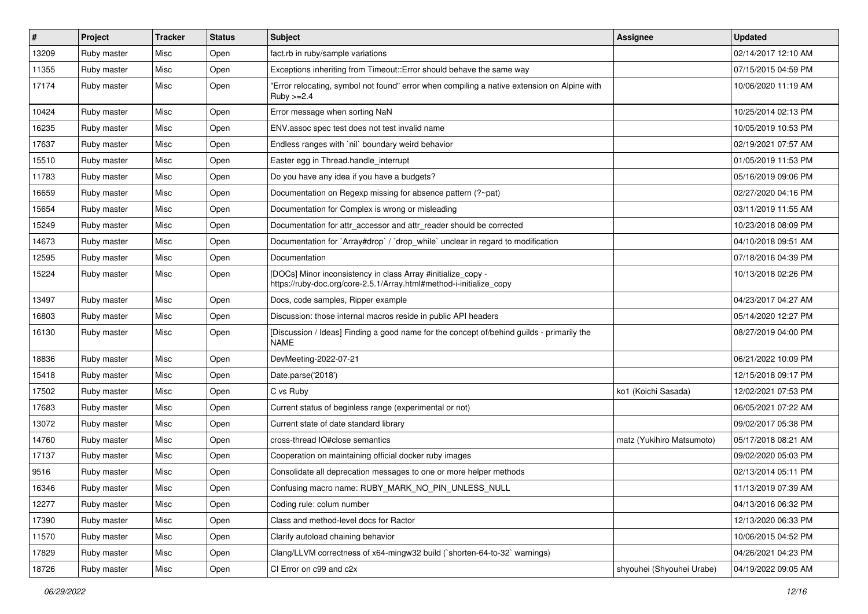| #     | Project     | <b>Tracker</b> | <b>Status</b> | <b>Subject</b>                                                                                                                      | <b>Assignee</b>           | <b>Updated</b>      |
|-------|-------------|----------------|---------------|-------------------------------------------------------------------------------------------------------------------------------------|---------------------------|---------------------|
| 13209 | Ruby master | Misc           | Open          | fact.rb in ruby/sample variations                                                                                                   |                           | 02/14/2017 12:10 AM |
| 11355 | Ruby master | Misc           | Open          | Exceptions inheriting from Timeout:: Error should behave the same way                                                               |                           | 07/15/2015 04:59 PM |
| 17174 | Ruby master | Misc           | Open          | "Error relocating, symbol not found" error when compiling a native extension on Alpine with<br>$Ruby >= 2.4$                        |                           | 10/06/2020 11:19 AM |
| 10424 | Ruby master | Misc           | Open          | Error message when sorting NaN                                                                                                      |                           | 10/25/2014 02:13 PM |
| 16235 | Ruby master | Misc           | Open          | ENV.assoc spec test does not test invalid name                                                                                      |                           | 10/05/2019 10:53 PM |
| 17637 | Ruby master | Misc           | Open          | Endless ranges with 'nil' boundary weird behavior                                                                                   |                           | 02/19/2021 07:57 AM |
| 15510 | Ruby master | Misc           | Open          | Easter egg in Thread.handle interrupt                                                                                               |                           | 01/05/2019 11:53 PM |
| 11783 | Ruby master | Misc           | Open          | Do you have any idea if you have a budgets?                                                                                         |                           | 05/16/2019 09:06 PM |
| 16659 | Ruby master | Misc           | Open          | Documentation on Regexp missing for absence pattern (?~pat)                                                                         |                           | 02/27/2020 04:16 PM |
| 15654 | Ruby master | Misc           | Open          | Documentation for Complex is wrong or misleading                                                                                    |                           | 03/11/2019 11:55 AM |
| 15249 | Ruby master | Misc           | Open          | Documentation for attr_accessor and attr_reader should be corrected                                                                 |                           | 10/23/2018 08:09 PM |
| 14673 | Ruby master | Misc           | Open          | Documentation for `Array#drop` / `drop_while` unclear in regard to modification                                                     |                           | 04/10/2018 09:51 AM |
| 12595 | Ruby master | Misc           | Open          | Documentation                                                                                                                       |                           | 07/18/2016 04:39 PM |
| 15224 | Ruby master | Misc           | Open          | [DOCs] Minor inconsistency in class Array #initialize_copy -<br>https://ruby-doc.org/core-2.5.1/Array.html#method-i-initialize_copy |                           | 10/13/2018 02:26 PM |
| 13497 | Ruby master | Misc           | Open          | Docs, code samples, Ripper example                                                                                                  |                           | 04/23/2017 04:27 AM |
| 16803 | Ruby master | Misc           | Open          | Discussion: those internal macros reside in public API headers                                                                      |                           | 05/14/2020 12:27 PM |
| 16130 | Ruby master | Misc           | Open          | [Discussion / Ideas] Finding a good name for the concept of/behind guilds - primarily the<br>NAME                                   |                           | 08/27/2019 04:00 PM |
| 18836 | Ruby master | Misc           | Open          | DevMeeting-2022-07-21                                                                                                               |                           | 06/21/2022 10:09 PM |
| 15418 | Ruby master | Misc           | Open          | Date.parse('2018')                                                                                                                  |                           | 12/15/2018 09:17 PM |
| 17502 | Ruby master | Misc           | Open          | C vs Ruby                                                                                                                           | ko1 (Koichi Sasada)       | 12/02/2021 07:53 PM |
| 17683 | Ruby master | Misc           | Open          | Current status of beginless range (experimental or not)                                                                             |                           | 06/05/2021 07:22 AM |
| 13072 | Ruby master | Misc           | Open          | Current state of date standard library                                                                                              |                           | 09/02/2017 05:38 PM |
| 14760 | Ruby master | Misc           | Open          | cross-thread IO#close semantics                                                                                                     | matz (Yukihiro Matsumoto) | 05/17/2018 08:21 AM |
| 17137 | Ruby master | Misc           | Open          | Cooperation on maintaining official docker ruby images                                                                              |                           | 09/02/2020 05:03 PM |
| 9516  | Ruby master | Misc           | Open          | Consolidate all deprecation messages to one or more helper methods                                                                  |                           | 02/13/2014 05:11 PM |
| 16346 | Ruby master | Misc           | Open          | Confusing macro name: RUBY_MARK_NO_PIN_UNLESS_NULL                                                                                  |                           | 11/13/2019 07:39 AM |
| 12277 | Ruby master | Misc           | Open          | Coding rule: colum number                                                                                                           |                           | 04/13/2016 06:32 PM |
| 17390 | Ruby master | Misc           | Open          | Class and method-level docs for Ractor                                                                                              |                           | 12/13/2020 06:33 PM |
| 11570 | Ruby master | Misc           | Open          | Clarify autoload chaining behavior                                                                                                  |                           | 10/06/2015 04:52 PM |
| 17829 | Ruby master | Misc           | Open          | Clang/LLVM correctness of x64-mingw32 build (`shorten-64-to-32` warnings)                                                           |                           | 04/26/2021 04:23 PM |
| 18726 | Ruby master | Misc           | Open          | CI Error on c99 and c2x                                                                                                             | shyouhei (Shyouhei Urabe) | 04/19/2022 09:05 AM |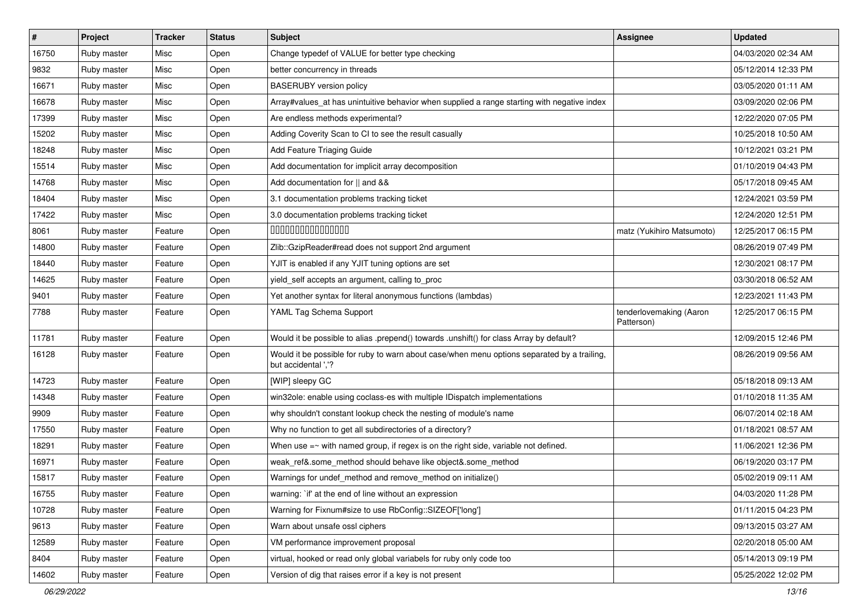| #     | Project     | <b>Tracker</b> | <b>Status</b> | <b>Subject</b>                                                                                                     | Assignee                              | <b>Updated</b>      |
|-------|-------------|----------------|---------------|--------------------------------------------------------------------------------------------------------------------|---------------------------------------|---------------------|
| 16750 | Ruby master | Misc           | Open          | Change typedef of VALUE for better type checking                                                                   |                                       | 04/03/2020 02:34 AM |
| 9832  | Ruby master | Misc           | Open          | better concurrency in threads                                                                                      |                                       | 05/12/2014 12:33 PM |
| 16671 | Ruby master | Misc           | Open          | <b>BASERUBY</b> version policy                                                                                     |                                       | 03/05/2020 01:11 AM |
| 16678 | Ruby master | Misc           | Open          | Array#values_at has unintuitive behavior when supplied a range starting with negative index                        |                                       | 03/09/2020 02:06 PM |
| 17399 | Ruby master | Misc           | Open          | Are endless methods experimental?                                                                                  |                                       | 12/22/2020 07:05 PM |
| 15202 | Ruby master | Misc           | Open          | Adding Coverity Scan to CI to see the result casually                                                              |                                       | 10/25/2018 10:50 AM |
| 18248 | Ruby master | Misc           | Open          | Add Feature Triaging Guide                                                                                         |                                       | 10/12/2021 03:21 PM |
| 15514 | Ruby master | Misc           | Open          | Add documentation for implicit array decomposition                                                                 |                                       | 01/10/2019 04:43 PM |
| 14768 | Ruby master | Misc           | Open          | Add documentation for    and &&                                                                                    |                                       | 05/17/2018 09:45 AM |
| 18404 | Ruby master | Misc           | Open          | 3.1 documentation problems tracking ticket                                                                         |                                       | 12/24/2021 03:59 PM |
| 17422 | Ruby master | Misc           | Open          | 3.0 documentation problems tracking ticket                                                                         |                                       | 12/24/2020 12:51 PM |
| 8061  | Ruby master | Feature        | Open          | 000000000000000                                                                                                    | matz (Yukihiro Matsumoto)             | 12/25/2017 06:15 PM |
| 14800 | Ruby master | Feature        | Open          | Zlib::GzipReader#read does not support 2nd argument                                                                |                                       | 08/26/2019 07:49 PM |
| 18440 | Ruby master | Feature        | Open          | YJIT is enabled if any YJIT tuning options are set                                                                 |                                       | 12/30/2021 08:17 PM |
| 14625 | Ruby master | Feature        | Open          | yield_self accepts an argument, calling to_proc                                                                    |                                       | 03/30/2018 06:52 AM |
| 9401  | Ruby master | Feature        | Open          | Yet another syntax for literal anonymous functions (lambdas)                                                       |                                       | 12/23/2021 11:43 PM |
| 7788  | Ruby master | Feature        | Open          | YAML Tag Schema Support                                                                                            | tenderlovemaking (Aaron<br>Patterson) | 12/25/2017 06:15 PM |
| 11781 | Ruby master | Feature        | Open          | Would it be possible to alias .prepend() towards .unshift() for class Array by default?                            |                                       | 12/09/2015 12:46 PM |
| 16128 | Ruby master | Feature        | Open          | Would it be possible for ruby to warn about case/when menu options separated by a trailing,<br>but accidental ','? |                                       | 08/26/2019 09:56 AM |
| 14723 | Ruby master | Feature        | Open          | [WIP] sleepy GC                                                                                                    |                                       | 05/18/2018 09:13 AM |
| 14348 | Ruby master | Feature        | Open          | win32ole: enable using coclass-es with multiple IDispatch implementations                                          |                                       | 01/10/2018 11:35 AM |
| 9909  | Ruby master | Feature        | Open          | why shouldn't constant lookup check the nesting of module's name                                                   |                                       | 06/07/2014 02:18 AM |
| 17550 | Ruby master | Feature        | Open          | Why no function to get all subdirectories of a directory?                                                          |                                       | 01/18/2021 08:57 AM |
| 18291 | Ruby master | Feature        | Open          | When use $=$ with named group, if regex is on the right side, variable not defined.                                |                                       | 11/06/2021 12:36 PM |
| 16971 | Ruby master | Feature        | Open          | weak_ref&.some_method should behave like object&.some_method                                                       |                                       | 06/19/2020 03:17 PM |
| 15817 | Ruby master | Feature        | Open          | Warnings for undef_method and remove_method on initialize()                                                        |                                       | 05/02/2019 09:11 AM |
| 16755 | Ruby master | Feature        | Open          | warning: `if' at the end of line without an expression                                                             |                                       | 04/03/2020 11:28 PM |
| 10728 | Ruby master | Feature        | Open          | Warning for Fixnum#size to use RbConfig::SIZEOF['long']                                                            |                                       | 01/11/2015 04:23 PM |
| 9613  | Ruby master | Feature        | Open          | Warn about unsafe ossl ciphers                                                                                     |                                       | 09/13/2015 03:27 AM |
| 12589 | Ruby master | Feature        | Open          | VM performance improvement proposal                                                                                |                                       | 02/20/2018 05:00 AM |
| 8404  | Ruby master | Feature        | Open          | virtual, hooked or read only global variabels for ruby only code too                                               |                                       | 05/14/2013 09:19 PM |
| 14602 | Ruby master | Feature        | Open          | Version of dig that raises error if a key is not present                                                           |                                       | 05/25/2022 12:02 PM |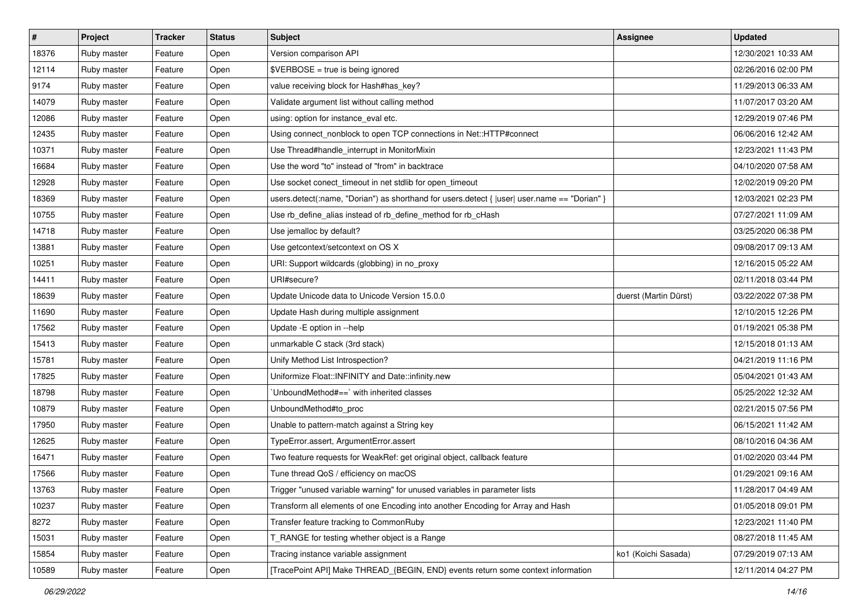| $\pmb{\#}$ | Project     | <b>Tracker</b> | <b>Status</b> | <b>Subject</b>                                                                               | Assignee              | <b>Updated</b>      |
|------------|-------------|----------------|---------------|----------------------------------------------------------------------------------------------|-----------------------|---------------------|
| 18376      | Ruby master | Feature        | Open          | Version comparison API                                                                       |                       | 12/30/2021 10:33 AM |
| 12114      | Ruby master | Feature        | Open          | \$VERBOSE = true is being ignored                                                            |                       | 02/26/2016 02:00 PM |
| 9174       | Ruby master | Feature        | Open          | value receiving block for Hash#has_key?                                                      |                       | 11/29/2013 06:33 AM |
| 14079      | Ruby master | Feature        | Open          | Validate argument list without calling method                                                |                       | 11/07/2017 03:20 AM |
| 12086      | Ruby master | Feature        | Open          | using: option for instance_eval etc.                                                         |                       | 12/29/2019 07:46 PM |
| 12435      | Ruby master | Feature        | Open          | Using connect_nonblock to open TCP connections in Net::HTTP#connect                          |                       | 06/06/2016 12:42 AM |
| 10371      | Ruby master | Feature        | Open          | Use Thread#handle_interrupt in MonitorMixin                                                  |                       | 12/23/2021 11:43 PM |
| 16684      | Ruby master | Feature        | Open          | Use the word "to" instead of "from" in backtrace                                             |                       | 04/10/2020 07:58 AM |
| 12928      | Ruby master | Feature        | Open          | Use socket conect_timeout in net stdlib for open_timeout                                     |                       | 12/02/2019 09:20 PM |
| 18369      | Ruby master | Feature        | Open          | users.detect(:name, "Dorian") as shorthand for users.detect {  user  user.name == "Dorian" } |                       | 12/03/2021 02:23 PM |
| 10755      | Ruby master | Feature        | Open          | Use rb_define_alias instead of rb_define_method for rb_cHash                                 |                       | 07/27/2021 11:09 AM |
| 14718      | Ruby master | Feature        | Open          | Use jemalloc by default?                                                                     |                       | 03/25/2020 06:38 PM |
| 13881      | Ruby master | Feature        | Open          | Use getcontext/setcontext on OS X                                                            |                       | 09/08/2017 09:13 AM |
| 10251      | Ruby master | Feature        | Open          | URI: Support wildcards (globbing) in no_proxy                                                |                       | 12/16/2015 05:22 AM |
| 14411      | Ruby master | Feature        | Open          | URI#secure?                                                                                  |                       | 02/11/2018 03:44 PM |
| 18639      | Ruby master | Feature        | Open          | Update Unicode data to Unicode Version 15.0.0                                                | duerst (Martin Dürst) | 03/22/2022 07:38 PM |
| 11690      | Ruby master | Feature        | Open          | Update Hash during multiple assignment                                                       |                       | 12/10/2015 12:26 PM |
| 17562      | Ruby master | Feature        | Open          | Update - E option in --help                                                                  |                       | 01/19/2021 05:38 PM |
| 15413      | Ruby master | Feature        | Open          | unmarkable C stack (3rd stack)                                                               |                       | 12/15/2018 01:13 AM |
| 15781      | Ruby master | Feature        | Open          | Unify Method List Introspection?                                                             |                       | 04/21/2019 11:16 PM |
| 17825      | Ruby master | Feature        | Open          | Uniformize Float::INFINITY and Date::infinity.new                                            |                       | 05/04/2021 01:43 AM |
| 18798      | Ruby master | Feature        | Open          | UnboundMethod#==` with inherited classes                                                     |                       | 05/25/2022 12:32 AM |
| 10879      | Ruby master | Feature        | Open          | UnboundMethod#to_proc                                                                        |                       | 02/21/2015 07:56 PM |
| 17950      | Ruby master | Feature        | Open          | Unable to pattern-match against a String key                                                 |                       | 06/15/2021 11:42 AM |
| 12625      | Ruby master | Feature        | Open          | TypeError.assert, ArgumentError.assert                                                       |                       | 08/10/2016 04:36 AM |
| 16471      | Ruby master | Feature        | Open          | Two feature requests for WeakRef: get original object, callback feature                      |                       | 01/02/2020 03:44 PM |
| 17566      | Ruby master | Feature        | Open          | Tune thread QoS / efficiency on macOS                                                        |                       | 01/29/2021 09:16 AM |
| 13763      | Ruby master | Feature        | Open          | Trigger "unused variable warning" for unused variables in parameter lists                    |                       | 11/28/2017 04:49 AM |
| 10237      | Ruby master | Feature        | Open          | Transform all elements of one Encoding into another Encoding for Array and Hash              |                       | 01/05/2018 09:01 PM |
| 8272       | Ruby master | Feature        | Open          | Transfer feature tracking to CommonRuby                                                      |                       | 12/23/2021 11:40 PM |
| 15031      | Ruby master | Feature        | Open          | T_RANGE for testing whether object is a Range                                                |                       | 08/27/2018 11:45 AM |
| 15854      | Ruby master | Feature        | Open          | Tracing instance variable assignment                                                         | ko1 (Koichi Sasada)   | 07/29/2019 07:13 AM |
| 10589      | Ruby master | Feature        | Open          | [TracePoint API] Make THREAD_{BEGIN, END} events return some context information             |                       | 12/11/2014 04:27 PM |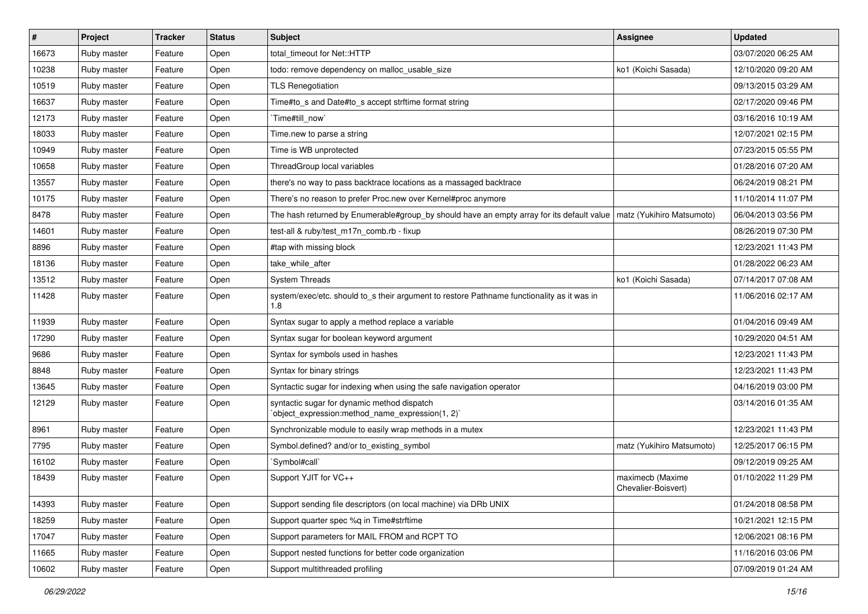| #     | Project     | <b>Tracker</b> | <b>Status</b> | <b>Subject</b>                                                                                                        | Assignee                                | <b>Updated</b>      |
|-------|-------------|----------------|---------------|-----------------------------------------------------------------------------------------------------------------------|-----------------------------------------|---------------------|
| 16673 | Ruby master | Feature        | Open          | total_timeout for Net::HTTP                                                                                           |                                         | 03/07/2020 06:25 AM |
| 10238 | Ruby master | Feature        | Open          | todo: remove dependency on malloc_usable_size                                                                         | ko1 (Koichi Sasada)                     | 12/10/2020 09:20 AM |
| 10519 | Ruby master | Feature        | Open          | <b>TLS Renegotiation</b>                                                                                              |                                         | 09/13/2015 03:29 AM |
| 16637 | Ruby master | Feature        | Open          | Time#to_s and Date#to_s accept strftime format string                                                                 |                                         | 02/17/2020 09:46 PM |
| 12173 | Ruby master | Feature        | Open          | Time#till_now`                                                                                                        |                                         | 03/16/2016 10:19 AM |
| 18033 | Ruby master | Feature        | Open          | Time.new to parse a string                                                                                            |                                         | 12/07/2021 02:15 PM |
| 10949 | Ruby master | Feature        | Open          | Time is WB unprotected                                                                                                |                                         | 07/23/2015 05:55 PM |
| 10658 | Ruby master | Feature        | Open          | ThreadGroup local variables                                                                                           |                                         | 01/28/2016 07:20 AM |
| 13557 | Ruby master | Feature        | Open          | there's no way to pass backtrace locations as a massaged backtrace                                                    |                                         | 06/24/2019 08:21 PM |
| 10175 | Ruby master | Feature        | Open          | There's no reason to prefer Proc.new over Kernel#proc anymore                                                         |                                         | 11/10/2014 11:07 PM |
| 8478  | Ruby master | Feature        | Open          | The hash returned by Enumerable#group_by should have an empty array for its default value   matz (Yukihiro Matsumoto) |                                         | 06/04/2013 03:56 PM |
| 14601 | Ruby master | Feature        | Open          | test-all & ruby/test m17n comb.rb - fixup                                                                             |                                         | 08/26/2019 07:30 PM |
| 8896  | Ruby master | Feature        | Open          | #tap with missing block                                                                                               |                                         | 12/23/2021 11:43 PM |
| 18136 | Ruby master | Feature        | Open          | take_while_after                                                                                                      |                                         | 01/28/2022 06:23 AM |
| 13512 | Ruby master | Feature        | Open          | <b>System Threads</b>                                                                                                 | ko1 (Koichi Sasada)                     | 07/14/2017 07:08 AM |
| 11428 | Ruby master | Feature        | Open          | system/exec/etc. should to_s their argument to restore Pathname functionality as it was in<br>1.8                     |                                         | 11/06/2016 02:17 AM |
| 11939 | Ruby master | Feature        | Open          | Syntax sugar to apply a method replace a variable                                                                     |                                         | 01/04/2016 09:49 AM |
| 17290 | Ruby master | Feature        | Open          | Syntax sugar for boolean keyword argument                                                                             |                                         | 10/29/2020 04:51 AM |
| 9686  | Ruby master | Feature        | Open          | Syntax for symbols used in hashes                                                                                     |                                         | 12/23/2021 11:43 PM |
| 8848  | Ruby master | Feature        | Open          | Syntax for binary strings                                                                                             |                                         | 12/23/2021 11:43 PM |
| 13645 | Ruby master | Feature        | Open          | Syntactic sugar for indexing when using the safe navigation operator                                                  |                                         | 04/16/2019 03:00 PM |
| 12129 | Ruby master | Feature        | Open          | syntactic sugar for dynamic method dispatch<br>'object_expression:method_name_expression(1, 2)'                       |                                         | 03/14/2016 01:35 AM |
| 8961  | Ruby master | Feature        | Open          | Synchronizable module to easily wrap methods in a mutex                                                               |                                         | 12/23/2021 11:43 PM |
| 7795  | Ruby master | Feature        | Open          | Symbol.defined? and/or to_existing_symbol                                                                             | matz (Yukihiro Matsumoto)               | 12/25/2017 06:15 PM |
| 16102 | Ruby master | Feature        | Open          | `Symbol#call`                                                                                                         |                                         | 09/12/2019 09:25 AM |
| 18439 | Ruby master | Feature        | Open          | Support YJIT for VC++                                                                                                 | maximecb (Maxime<br>Chevalier-Boisvert) | 01/10/2022 11:29 PM |
| 14393 | Ruby master | Feature        | Open          | Support sending file descriptors (on local machine) via DRb UNIX                                                      |                                         | 01/24/2018 08:58 PM |
| 18259 | Ruby master | Feature        | Open          | Support quarter spec %q in Time#strftime                                                                              |                                         | 10/21/2021 12:15 PM |
| 17047 | Ruby master | Feature        | Open          | Support parameters for MAIL FROM and RCPT TO                                                                          |                                         | 12/06/2021 08:16 PM |
| 11665 | Ruby master | Feature        | Open          | Support nested functions for better code organization                                                                 |                                         | 11/16/2016 03:06 PM |
| 10602 | Ruby master | Feature        | Open          | Support multithreaded profiling                                                                                       |                                         | 07/09/2019 01:24 AM |